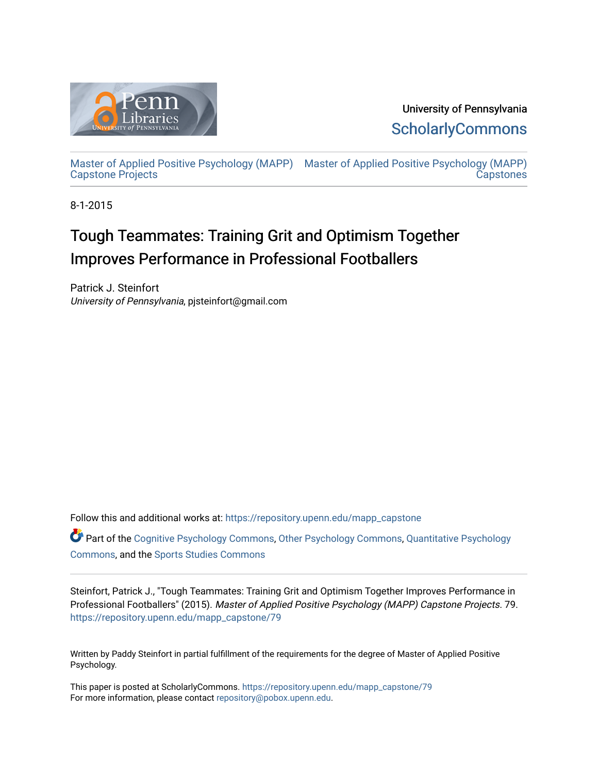

University of Pennsylvania **ScholarlyCommons** 

[Master of Applied Positive Psychology \(MAPP\)](https://repository.upenn.edu/mapp_capstone) [Master of Applied Positive Psychology \(MAPP\)](https://repository.upenn.edu/mapp_capstones)  [Capstone Projects](https://repository.upenn.edu/mapp_capstone)  **Capstones** 

8-1-2015

# Tough Teammates: Training Grit and Optimism Together Improves Performance in Professional Footballers

Patrick J. Steinfort University of Pennsylvania, pjsteinfort@gmail.com

Follow this and additional works at: [https://repository.upenn.edu/mapp\\_capstone](https://repository.upenn.edu/mapp_capstone?utm_source=repository.upenn.edu%2Fmapp_capstone%2F79&utm_medium=PDF&utm_campaign=PDFCoverPages) 

Part of the [Cognitive Psychology Commons,](http://network.bepress.com/hgg/discipline/408?utm_source=repository.upenn.edu%2Fmapp_capstone%2F79&utm_medium=PDF&utm_campaign=PDFCoverPages) [Other Psychology Commons,](http://network.bepress.com/hgg/discipline/415?utm_source=repository.upenn.edu%2Fmapp_capstone%2F79&utm_medium=PDF&utm_campaign=PDFCoverPages) [Quantitative Psychology](http://network.bepress.com/hgg/discipline/1041?utm_source=repository.upenn.edu%2Fmapp_capstone%2F79&utm_medium=PDF&utm_campaign=PDFCoverPages) [Commons](http://network.bepress.com/hgg/discipline/1041?utm_source=repository.upenn.edu%2Fmapp_capstone%2F79&utm_medium=PDF&utm_campaign=PDFCoverPages), and the [Sports Studies Commons](http://network.bepress.com/hgg/discipline/1198?utm_source=repository.upenn.edu%2Fmapp_capstone%2F79&utm_medium=PDF&utm_campaign=PDFCoverPages) 

Steinfort, Patrick J., "Tough Teammates: Training Grit and Optimism Together Improves Performance in Professional Footballers" (2015). Master of Applied Positive Psychology (MAPP) Capstone Projects. 79. [https://repository.upenn.edu/mapp\\_capstone/79](https://repository.upenn.edu/mapp_capstone/79?utm_source=repository.upenn.edu%2Fmapp_capstone%2F79&utm_medium=PDF&utm_campaign=PDFCoverPages)

Written by Paddy Steinfort in partial fulfillment of the requirements for the degree of Master of Applied Positive Psychology.

This paper is posted at ScholarlyCommons. [https://repository.upenn.edu/mapp\\_capstone/79](https://repository.upenn.edu/mapp_capstone/79)  For more information, please contact [repository@pobox.upenn.edu.](mailto:repository@pobox.upenn.edu)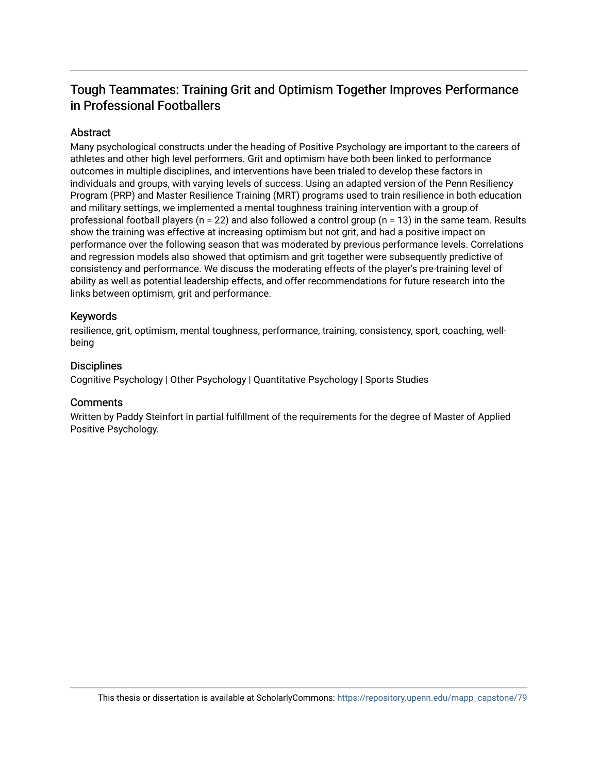# Tough Teammates: Training Grit and Optimism Together Improves Performance in Professional Footballers

## Abstract

Many psychological constructs under the heading of Positive Psychology are important to the careers of athletes and other high level performers. Grit and optimism have both been linked to performance outcomes in multiple disciplines, and interventions have been trialed to develop these factors in individuals and groups, with varying levels of success. Using an adapted version of the Penn Resiliency Program (PRP) and Master Resilience Training (MRT) programs used to train resilience in both education and military settings, we implemented a mental toughness training intervention with a group of professional football players (n = 22) and also followed a control group (n = 13) in the same team. Results show the training was effective at increasing optimism but not grit, and had a positive impact on performance over the following season that was moderated by previous performance levels. Correlations and regression models also showed that optimism and grit together were subsequently predictive of consistency and performance. We discuss the moderating effects of the player's pre-training level of ability as well as potential leadership effects, and offer recommendations for future research into the links between optimism, grit and performance.

## Keywords

resilience, grit, optimism, mental toughness, performance, training, consistency, sport, coaching, wellbeing

## **Disciplines**

Cognitive Psychology | Other Psychology | Quantitative Psychology | Sports Studies

## **Comments**

Written by Paddy Steinfort in partial fulfillment of the requirements for the degree of Master of Applied Positive Psychology.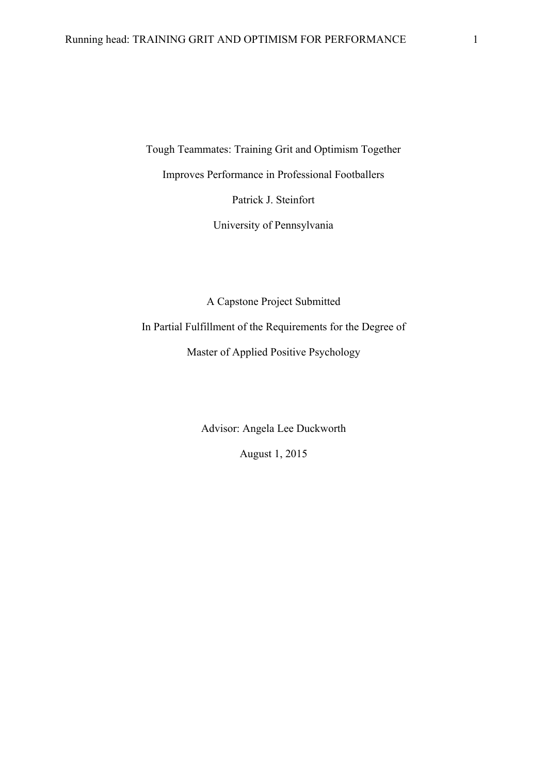Tough Teammates: Training Grit and Optimism Together Improves Performance in Professional Footballers Patrick J. Steinfort

University of Pennsylvania

A Capstone Project Submitted In Partial Fulfillment of the Requirements for the Degree of Master of Applied Positive Psychology

> Advisor: Angela Lee Duckworth August 1, 2015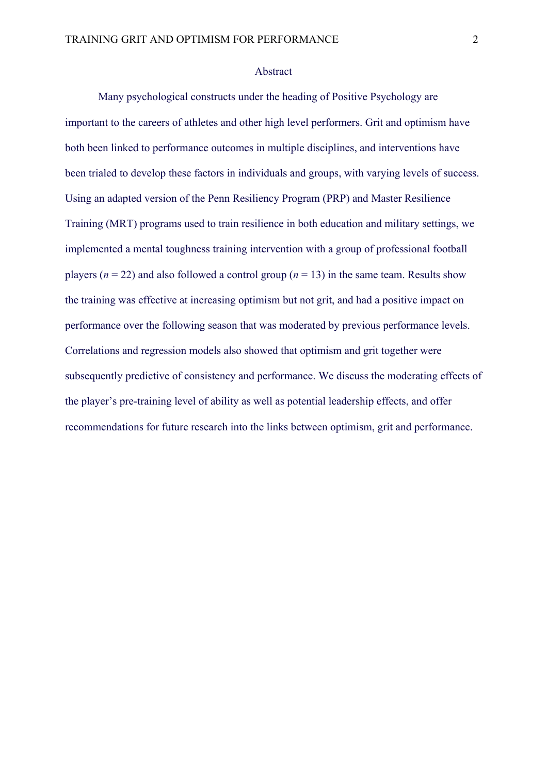#### Abstract

Many psychological constructs under the heading of Positive Psychology are important to the careers of athletes and other high level performers. Grit and optimism have both been linked to performance outcomes in multiple disciplines, and interventions have been trialed to develop these factors in individuals and groups, with varying levels of success. Using an adapted version of the Penn Resiliency Program (PRP) and Master Resilience Training (MRT) programs used to train resilience in both education and military settings, we implemented a mental toughness training intervention with a group of professional football players ( $n = 22$ ) and also followed a control group ( $n = 13$ ) in the same team. Results show the training was effective at increasing optimism but not grit, and had a positive impact on performance over the following season that was moderated by previous performance levels. Correlations and regression models also showed that optimism and grit together were subsequently predictive of consistency and performance. We discuss the moderating effects of the player's pre-training level of ability as well as potential leadership effects, and offer recommendations for future research into the links between optimism, grit and performance.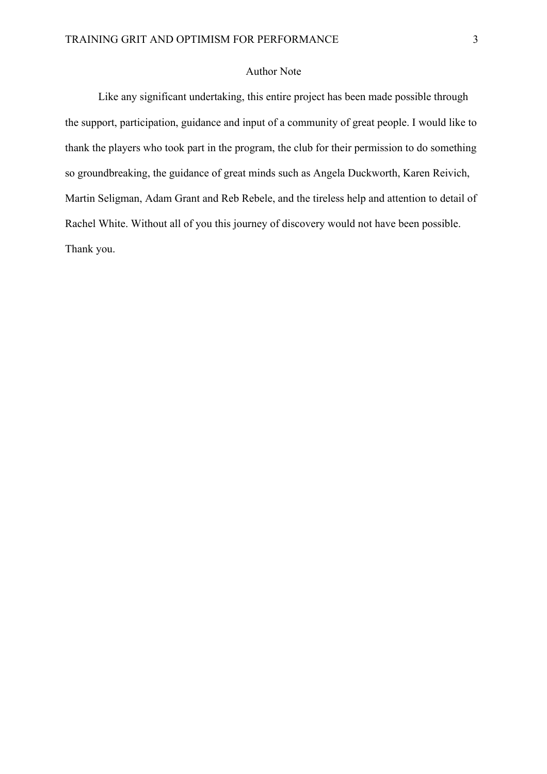## Author Note

Like any significant undertaking, this entire project has been made possible through the support, participation, guidance and input of a community of great people. I would like to thank the players who took part in the program, the club for their permission to do something so groundbreaking, the guidance of great minds such as Angela Duckworth, Karen Reivich, Martin Seligman, Adam Grant and Reb Rebele, and the tireless help and attention to detail of Rachel White. Without all of you this journey of discovery would not have been possible. Thank you.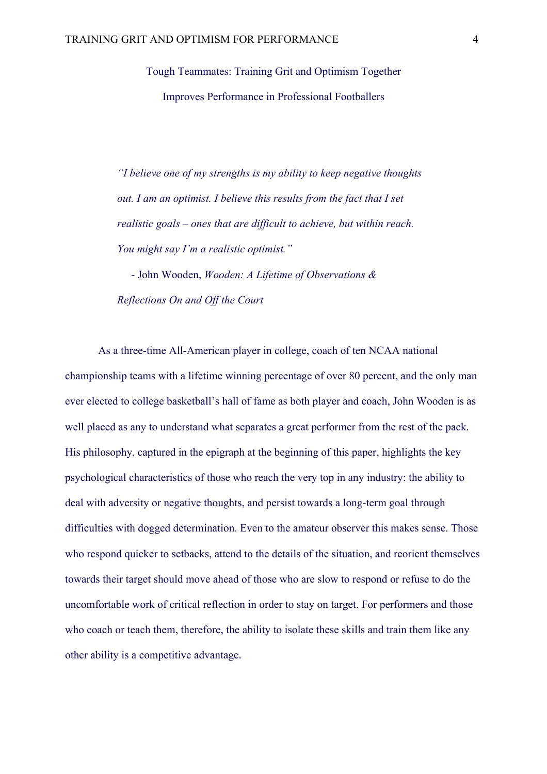Tough Teammates: Training Grit and Optimism Together Improves Performance in Professional Footballers

*"I believe one of my strengths is my ability to keep negative thoughts out. I am an optimist. I believe this results from the fact that I set realistic goals – ones that are difficult to achieve, but within reach. You might say I'm a realistic optimist."*

- John Wooden, *Wooden: A Lifetime of Observations & Reflections On and Off the Court* 

As a three-time All-American player in college, coach of ten NCAA national championship teams with a lifetime winning percentage of over 80 percent, and the only man ever elected to college basketball's hall of fame as both player and coach, John Wooden is as well placed as any to understand what separates a great performer from the rest of the pack. His philosophy, captured in the epigraph at the beginning of this paper, highlights the key psychological characteristics of those who reach the very top in any industry: the ability to deal with adversity or negative thoughts, and persist towards a long-term goal through difficulties with dogged determination. Even to the amateur observer this makes sense. Those who respond quicker to setbacks, attend to the details of the situation, and reorient themselves towards their target should move ahead of those who are slow to respond or refuse to do the uncomfortable work of critical reflection in order to stay on target. For performers and those who coach or teach them, therefore, the ability to isolate these skills and train them like any other ability is a competitive advantage.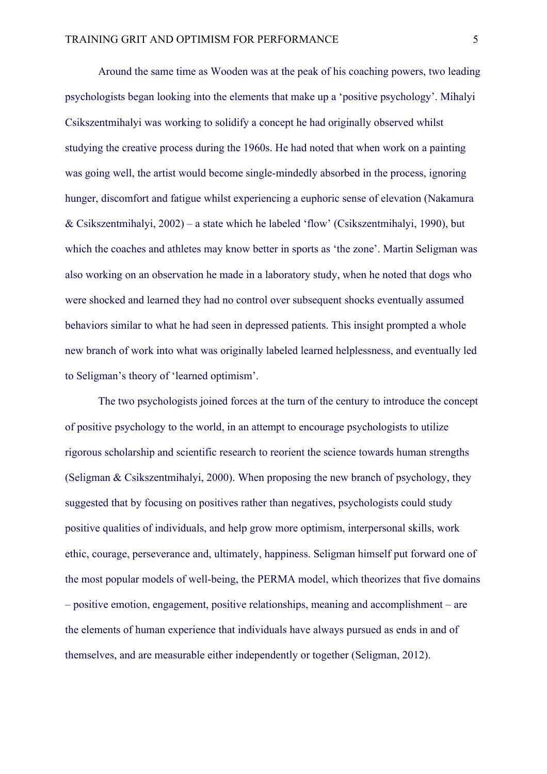Around the same time as Wooden was at the peak of his coaching powers, two leading psychologists began looking into the elements that make up a 'positive psychology'. Mihalyi Csikszentmihalyi was working to solidify a concept he had originally observed whilst studying the creative process during the 1960s. He had noted that when work on a painting was going well, the artist would become single-mindedly absorbed in the process, ignoring hunger, discomfort and fatigue whilst experiencing a euphoric sense of elevation (Nakamura & Csikszentmihalyi, 2002) – a state which he labeled 'flow' (Csikszentmihalyi, 1990), but which the coaches and athletes may know better in sports as 'the zone'. Martin Seligman was also working on an observation he made in a laboratory study, when he noted that dogs who were shocked and learned they had no control over subsequent shocks eventually assumed behaviors similar to what he had seen in depressed patients. This insight prompted a whole new branch of work into what was originally labeled learned helplessness, and eventually led to Seligman's theory of 'learned optimism'.

The two psychologists joined forces at the turn of the century to introduce the concept of positive psychology to the world, in an attempt to encourage psychologists to utilize rigorous scholarship and scientific research to reorient the science towards human strengths (Seligman & Csikszentmihalyi, 2000). When proposing the new branch of psychology, they suggested that by focusing on positives rather than negatives, psychologists could study positive qualities of individuals, and help grow more optimism, interpersonal skills, work ethic, courage, perseverance and, ultimately, happiness. Seligman himself put forward one of the most popular models of well-being, the PERMA model, which theorizes that five domains – positive emotion, engagement, positive relationships, meaning and accomplishment – are the elements of human experience that individuals have always pursued as ends in and of themselves, and are measurable either independently or together (Seligman, 2012).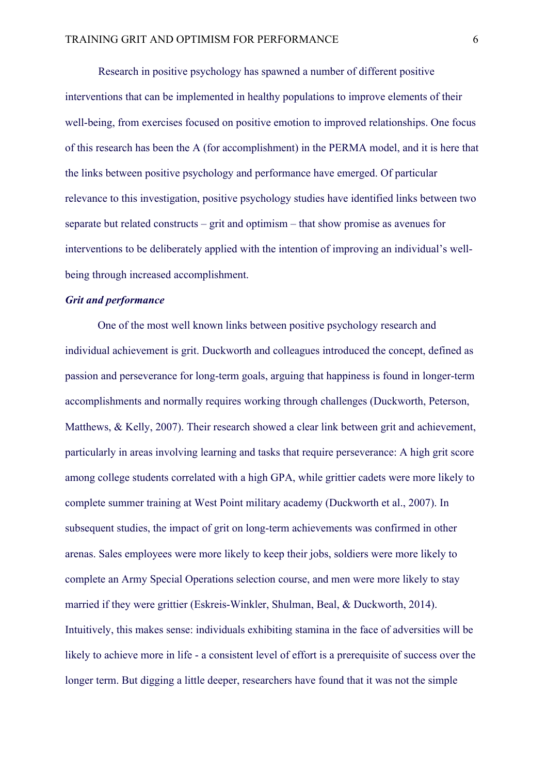Research in positive psychology has spawned a number of different positive interventions that can be implemented in healthy populations to improve elements of their well-being, from exercises focused on positive emotion to improved relationships. One focus of this research has been the A (for accomplishment) in the PERMA model, and it is here that the links between positive psychology and performance have emerged. Of particular relevance to this investigation, positive psychology studies have identified links between two separate but related constructs – grit and optimism – that show promise as avenues for interventions to be deliberately applied with the intention of improving an individual's wellbeing through increased accomplishment.

### *Grit and performance*

One of the most well known links between positive psychology research and individual achievement is grit. Duckworth and colleagues introduced the concept, defined as passion and perseverance for long-term goals, arguing that happiness is found in longer-term accomplishments and normally requires working through challenges (Duckworth, Peterson, Matthews, & Kelly, 2007). Their research showed a clear link between grit and achievement, particularly in areas involving learning and tasks that require perseverance: A high grit score among college students correlated with a high GPA, while grittier cadets were more likely to complete summer training at West Point military academy (Duckworth et al., 2007). In subsequent studies, the impact of grit on long-term achievements was confirmed in other arenas. Sales employees were more likely to keep their jobs, soldiers were more likely to complete an Army Special Operations selection course, and men were more likely to stay married if they were grittier (Eskreis-Winkler, Shulman, Beal, & Duckworth, 2014). Intuitively, this makes sense: individuals exhibiting stamina in the face of adversities will be likely to achieve more in life - a consistent level of effort is a prerequisite of success over the longer term. But digging a little deeper, researchers have found that it was not the simple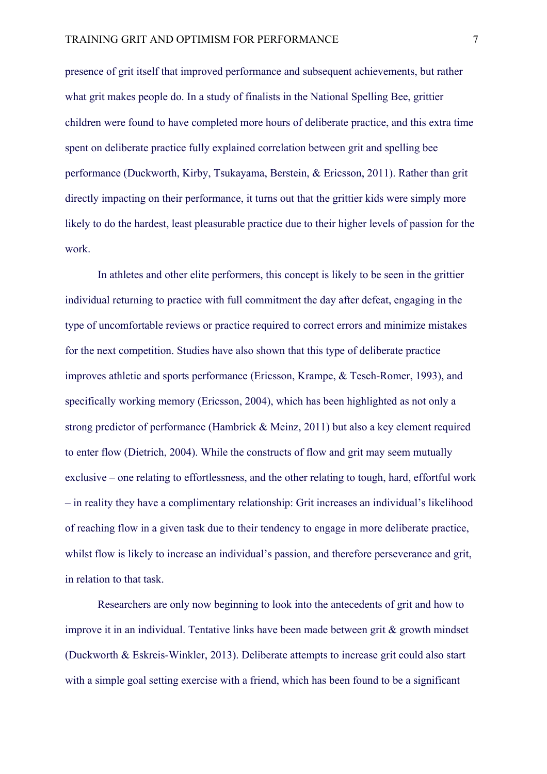presence of grit itself that improved performance and subsequent achievements, but rather what grit makes people do. In a study of finalists in the National Spelling Bee, grittier children were found to have completed more hours of deliberate practice, and this extra time spent on deliberate practice fully explained correlation between grit and spelling bee performance (Duckworth, Kirby, Tsukayama, Berstein, & Ericsson, 2011). Rather than grit directly impacting on their performance, it turns out that the grittier kids were simply more likely to do the hardest, least pleasurable practice due to their higher levels of passion for the work.

In athletes and other elite performers, this concept is likely to be seen in the grittier individual returning to practice with full commitment the day after defeat, engaging in the type of uncomfortable reviews or practice required to correct errors and minimize mistakes for the next competition. Studies have also shown that this type of deliberate practice improves athletic and sports performance (Ericsson, Krampe, & Tesch-Romer, 1993), and specifically working memory (Ericsson, 2004), which has been highlighted as not only a strong predictor of performance (Hambrick & Meinz, 2011) but also a key element required to enter flow (Dietrich, 2004). While the constructs of flow and grit may seem mutually exclusive – one relating to effortlessness, and the other relating to tough, hard, effortful work – in reality they have a complimentary relationship: Grit increases an individual's likelihood of reaching flow in a given task due to their tendency to engage in more deliberate practice, whilst flow is likely to increase an individual's passion, and therefore perseverance and grit, in relation to that task.

Researchers are only now beginning to look into the antecedents of grit and how to improve it in an individual. Tentative links have been made between grit & growth mindset (Duckworth & Eskreis-Winkler, 2013). Deliberate attempts to increase grit could also start with a simple goal setting exercise with a friend, which has been found to be a significant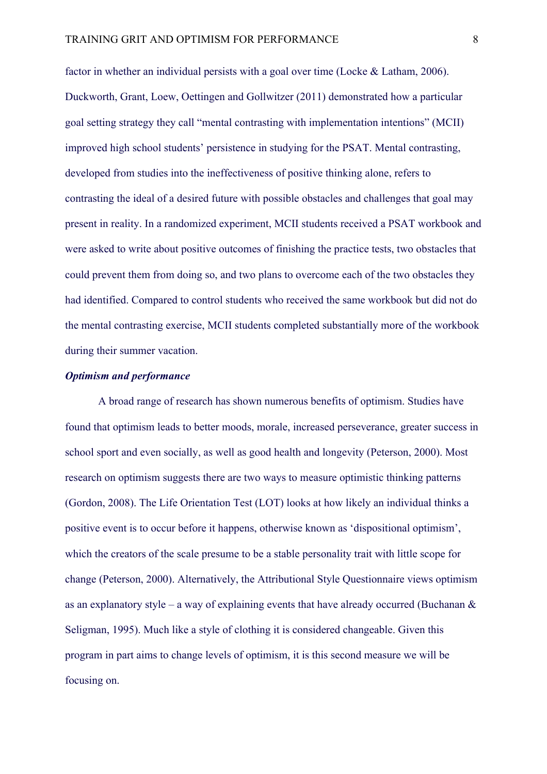factor in whether an individual persists with a goal over time (Locke & Latham, 2006). Duckworth, Grant, Loew, Oettingen and Gollwitzer (2011) demonstrated how a particular goal setting strategy they call "mental contrasting with implementation intentions" (MCII) improved high school students' persistence in studying for the PSAT. Mental contrasting, developed from studies into the ineffectiveness of positive thinking alone, refers to contrasting the ideal of a desired future with possible obstacles and challenges that goal may present in reality. In a randomized experiment, MCII students received a PSAT workbook and were asked to write about positive outcomes of finishing the practice tests, two obstacles that could prevent them from doing so, and two plans to overcome each of the two obstacles they had identified. Compared to control students who received the same workbook but did not do the mental contrasting exercise, MCII students completed substantially more of the workbook during their summer vacation.

## *Optimism and performance*

A broad range of research has shown numerous benefits of optimism. Studies have found that optimism leads to better moods, morale, increased perseverance, greater success in school sport and even socially, as well as good health and longevity (Peterson, 2000). Most research on optimism suggests there are two ways to measure optimistic thinking patterns (Gordon, 2008). The Life Orientation Test (LOT) looks at how likely an individual thinks a positive event is to occur before it happens, otherwise known as 'dispositional optimism', which the creators of the scale presume to be a stable personality trait with little scope for change (Peterson, 2000). Alternatively, the Attributional Style Questionnaire views optimism as an explanatory style – a way of explaining events that have already occurred (Buchanan  $\&$ Seligman, 1995). Much like a style of clothing it is considered changeable. Given this program in part aims to change levels of optimism, it is this second measure we will be focusing on.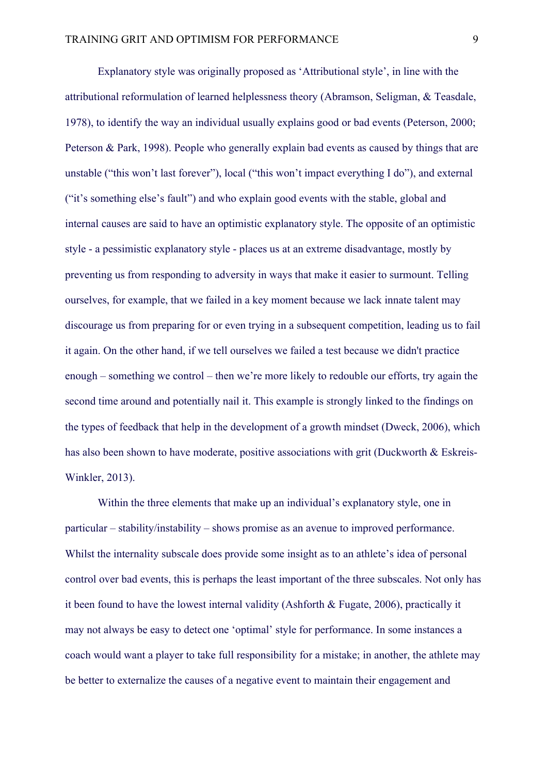Explanatory style was originally proposed as 'Attributional style', in line with the attributional reformulation of learned helplessness theory (Abramson, Seligman, & Teasdale, 1978), to identify the way an individual usually explains good or bad events (Peterson, 2000; Peterson & Park, 1998). People who generally explain bad events as caused by things that are unstable ("this won't last forever"), local ("this won't impact everything I do"), and external ("it's something else's fault") and who explain good events with the stable, global and internal causes are said to have an optimistic explanatory style. The opposite of an optimistic style - a pessimistic explanatory style - places us at an extreme disadvantage, mostly by preventing us from responding to adversity in ways that make it easier to surmount. Telling ourselves, for example, that we failed in a key moment because we lack innate talent may discourage us from preparing for or even trying in a subsequent competition, leading us to fail it again. On the other hand, if we tell ourselves we failed a test because we didn't practice enough – something we control – then we're more likely to redouble our efforts, try again the second time around and potentially nail it. This example is strongly linked to the findings on the types of feedback that help in the development of a growth mindset (Dweck, 2006), which has also been shown to have moderate, positive associations with grit (Duckworth & Eskreis-Winkler, 2013).

Within the three elements that make up an individual's explanatory style, one in particular – stability/instability – shows promise as an avenue to improved performance. Whilst the internality subscale does provide some insight as to an athlete's idea of personal control over bad events, this is perhaps the least important of the three subscales. Not only has it been found to have the lowest internal validity (Ashforth & Fugate, 2006), practically it may not always be easy to detect one 'optimal' style for performance. In some instances a coach would want a player to take full responsibility for a mistake; in another, the athlete may be better to externalize the causes of a negative event to maintain their engagement and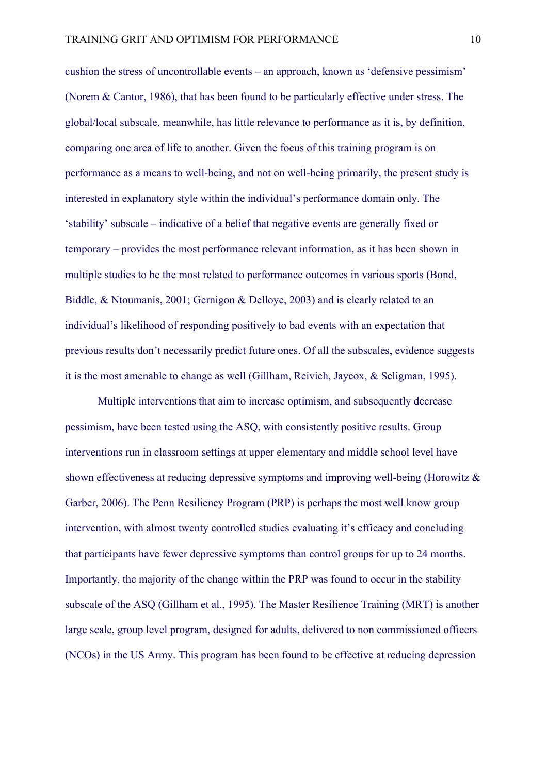cushion the stress of uncontrollable events – an approach, known as 'defensive pessimism' (Norem & Cantor, 1986), that has been found to be particularly effective under stress. The global/local subscale, meanwhile, has little relevance to performance as it is, by definition, comparing one area of life to another. Given the focus of this training program is on performance as a means to well-being, and not on well-being primarily, the present study is interested in explanatory style within the individual's performance domain only. The 'stability' subscale – indicative of a belief that negative events are generally fixed or temporary – provides the most performance relevant information, as it has been shown in multiple studies to be the most related to performance outcomes in various sports (Bond, Biddle, & Ntoumanis, 2001; Gernigon & Delloye, 2003) and is clearly related to an individual's likelihood of responding positively to bad events with an expectation that previous results don't necessarily predict future ones. Of all the subscales, evidence suggests it is the most amenable to change as well (Gillham, Reivich, Jaycox, & Seligman, 1995).

Multiple interventions that aim to increase optimism, and subsequently decrease pessimism, have been tested using the ASQ, with consistently positive results. Group interventions run in classroom settings at upper elementary and middle school level have shown effectiveness at reducing depressive symptoms and improving well-being (Horowitz & Garber, 2006). The Penn Resiliency Program (PRP) is perhaps the most well know group intervention, with almost twenty controlled studies evaluating it's efficacy and concluding that participants have fewer depressive symptoms than control groups for up to 24 months. Importantly, the majority of the change within the PRP was found to occur in the stability subscale of the ASQ (Gillham et al., 1995). The Master Resilience Training (MRT) is another large scale, group level program, designed for adults, delivered to non commissioned officers (NCOs) in the US Army. This program has been found to be effective at reducing depression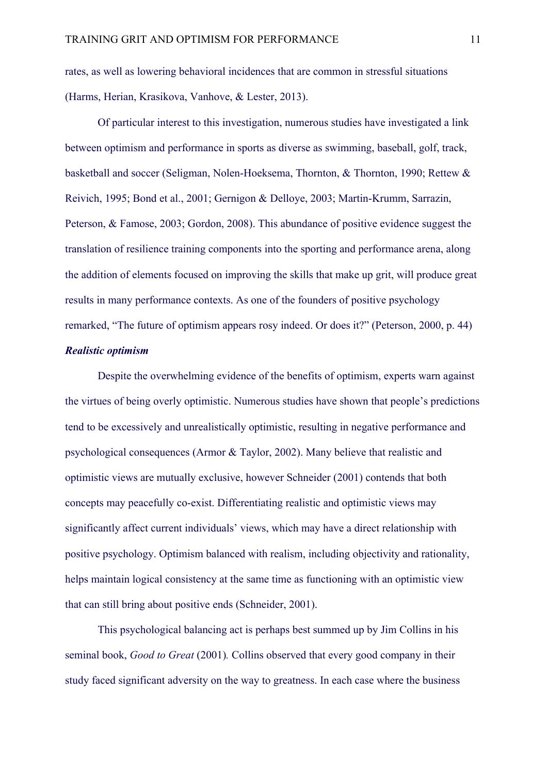rates, as well as lowering behavioral incidences that are common in stressful situations (Harms, Herian, Krasikova, Vanhove, & Lester, 2013).

Of particular interest to this investigation, numerous studies have investigated a link between optimism and performance in sports as diverse as swimming, baseball, golf, track, basketball and soccer (Seligman, Nolen-Hoeksema, Thornton, & Thornton, 1990; Rettew & Reivich, 1995; Bond et al., 2001; Gernigon & Delloye, 2003; Martin-Krumm, Sarrazin, Peterson, & Famose, 2003; Gordon, 2008). This abundance of positive evidence suggest the translation of resilience training components into the sporting and performance arena, along the addition of elements focused on improving the skills that make up grit, will produce great results in many performance contexts. As one of the founders of positive psychology remarked, "The future of optimism appears rosy indeed. Or does it?" (Peterson, 2000, p. 44)

## *Realistic optimism*

Despite the overwhelming evidence of the benefits of optimism, experts warn against the virtues of being overly optimistic. Numerous studies have shown that people's predictions tend to be excessively and unrealistically optimistic, resulting in negative performance and psychological consequences (Armor & Taylor, 2002). Many believe that realistic and optimistic views are mutually exclusive, however Schneider (2001) contends that both concepts may peacefully co-exist. Differentiating realistic and optimistic views may significantly affect current individuals' views, which may have a direct relationship with positive psychology. Optimism balanced with realism, including objectivity and rationality, helps maintain logical consistency at the same time as functioning with an optimistic view that can still bring about positive ends (Schneider, 2001).

This psychological balancing act is perhaps best summed up by Jim Collins in his seminal book, *Good to Great* (2001)*.* Collins observed that every good company in their study faced significant adversity on the way to greatness. In each case where the business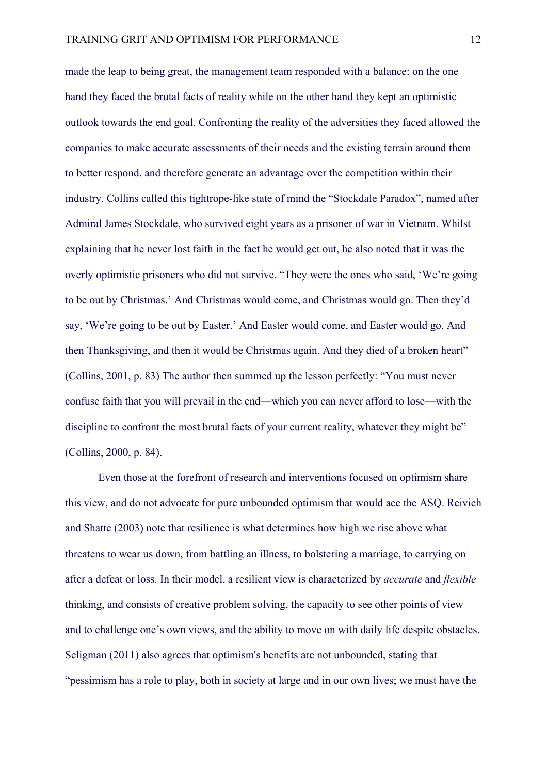made the leap to being great, the management team responded with a balance: on the one hand they faced the brutal facts of reality while on the other hand they kept an optimistic outlook towards the end goal. Confronting the reality of the adversities they faced allowed the companies to make accurate assessments of their needs and the existing terrain around them to better respond, and therefore generate an advantage over the competition within their industry. Collins called this tightrope-like state of mind the "Stockdale Paradox", named after Admiral James Stockdale, who survived eight years as a prisoner of war in Vietnam. Whilst explaining that he never lost faith in the fact he would get out, he also noted that it was the overly optimistic prisoners who did not survive. "They were the ones who said, 'We're going to be out by Christmas.' And Christmas would come, and Christmas would go. Then they'd say, 'We're going to be out by Easter.' And Easter would come, and Easter would go. And then Thanksgiving, and then it would be Christmas again. And they died of a broken heart" (Collins, 2001, p. 83) The author then summed up the lesson perfectly: "You must never confuse faith that you will prevail in the end—which you can never afford to lose—with the discipline to confront the most brutal facts of your current reality, whatever they might be" (Collins, 2000, p. 84).

Even those at the forefront of research and interventions focused on optimism share this view, and do not advocate for pure unbounded optimism that would ace the ASQ. Reivich and Shatte (2003) note that resilience is what determines how high we rise above what threatens to wear us down, from battling an illness, to bolstering a marriage, to carrying on after a defeat or loss. In their model, a resilient view is characterized by *accurate* and *flexible*  thinking, and consists of creative problem solving, the capacity to see other points of view and to challenge one's own views, and the ability to move on with daily life despite obstacles. Seligman (2011) also agrees that optimism's benefits are not unbounded, stating that "pessimism has a role to play, both in society at large and in our own lives; we must have the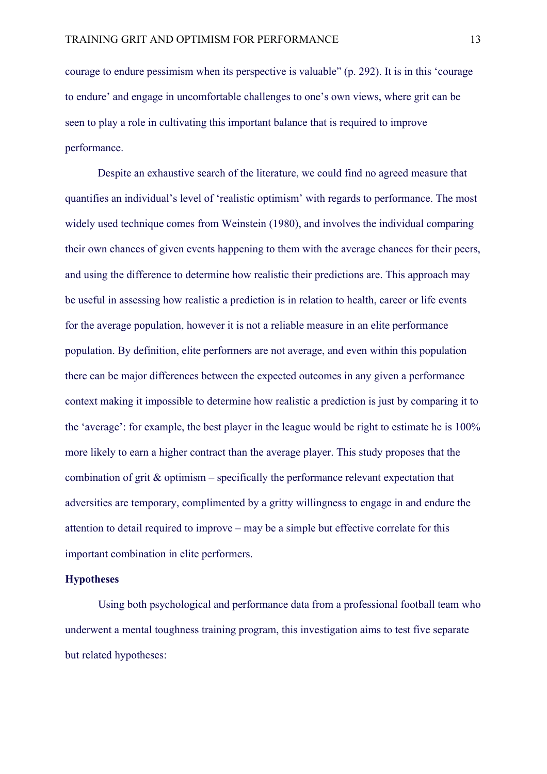courage to endure pessimism when its perspective is valuable" (p. 292). It is in this 'courage to endure' and engage in uncomfortable challenges to one's own views, where grit can be seen to play a role in cultivating this important balance that is required to improve performance.

Despite an exhaustive search of the literature, we could find no agreed measure that quantifies an individual's level of 'realistic optimism' with regards to performance. The most widely used technique comes from Weinstein (1980), and involves the individual comparing their own chances of given events happening to them with the average chances for their peers, and using the difference to determine how realistic their predictions are. This approach may be useful in assessing how realistic a prediction is in relation to health, career or life events for the average population, however it is not a reliable measure in an elite performance population. By definition, elite performers are not average, and even within this population there can be major differences between the expected outcomes in any given a performance context making it impossible to determine how realistic a prediction is just by comparing it to the 'average': for example, the best player in the league would be right to estimate he is 100% more likely to earn a higher contract than the average player. This study proposes that the combination of grit & optimism – specifically the performance relevant expectation that adversities are temporary, complimented by a gritty willingness to engage in and endure the attention to detail required to improve – may be a simple but effective correlate for this important combination in elite performers.

## **Hypotheses**

Using both psychological and performance data from a professional football team who underwent a mental toughness training program, this investigation aims to test five separate but related hypotheses: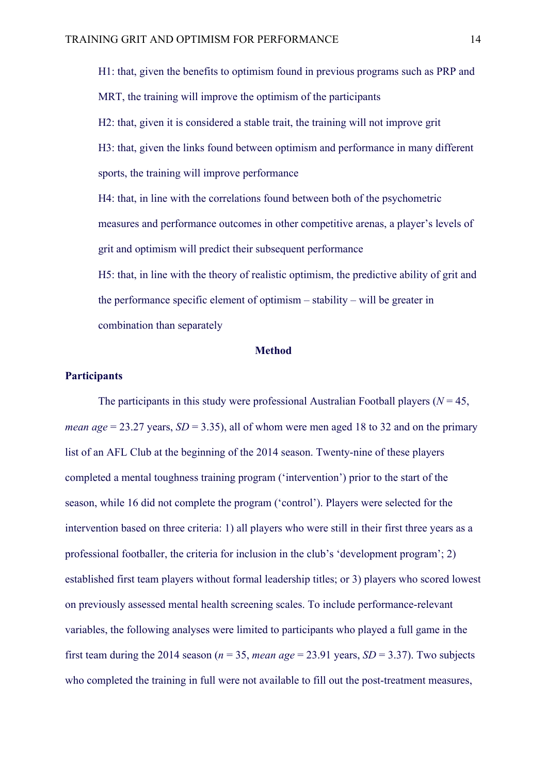H1: that, given the benefits to optimism found in previous programs such as PRP and MRT, the training will improve the optimism of the participants H2: that, given it is considered a stable trait, the training will not improve grit H3: that, given the links found between optimism and performance in many different sports, the training will improve performance H4: that, in line with the correlations found between both of the psychometric measures and performance outcomes in other competitive arenas, a player's levels of grit and optimism will predict their subsequent performance H5: that, in line with the theory of realistic optimism, the predictive ability of grit and the performance specific element of optimism – stability – will be greater in combination than separately

#### **Method**

## **Participants**

The participants in this study were professional Australian Football players ( $N = 45$ , *mean age* = 23.27 years,  $SD = 3.35$ ), all of whom were men aged 18 to 32 and on the primary list of an AFL Club at the beginning of the 2014 season. Twenty-nine of these players completed a mental toughness training program ('intervention') prior to the start of the season, while 16 did not complete the program ('control'). Players were selected for the intervention based on three criteria: 1) all players who were still in their first three years as a professional footballer, the criteria for inclusion in the club's 'development program'; 2) established first team players without formal leadership titles; or 3) players who scored lowest on previously assessed mental health screening scales. To include performance-relevant variables, the following analyses were limited to participants who played a full game in the first team during the 2014 season ( $n = 35$ , *mean age* = 23.91 years, *SD* = 3.37). Two subjects who completed the training in full were not available to fill out the post-treatment measures,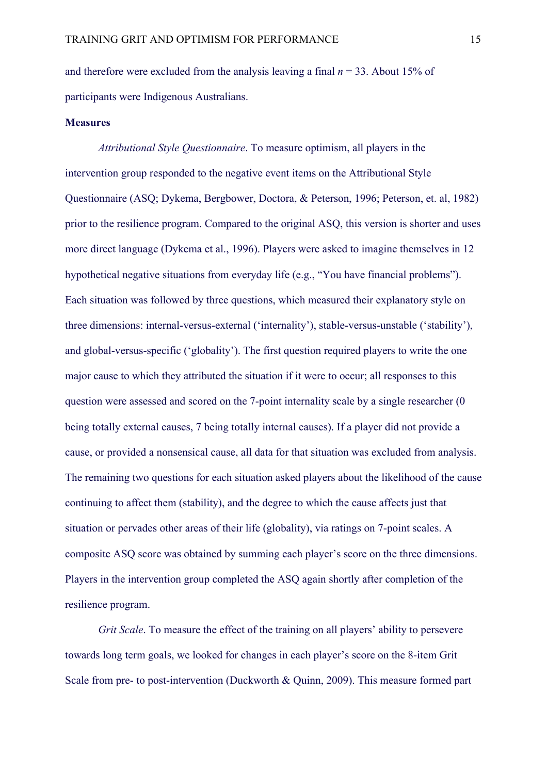and therefore were excluded from the analysis leaving a final  $n = 33$ . About 15% of participants were Indigenous Australians.

## **Measures**

*Attributional Style Questionnaire*. To measure optimism, all players in the intervention group responded to the negative event items on the Attributional Style Questionnaire (ASQ; Dykema, Bergbower, Doctora, & Peterson, 1996; Peterson, et. al, 1982) prior to the resilience program. Compared to the original ASQ, this version is shorter and uses more direct language (Dykema et al., 1996). Players were asked to imagine themselves in 12 hypothetical negative situations from everyday life (e.g., "You have financial problems"). Each situation was followed by three questions, which measured their explanatory style on three dimensions: internal-versus-external ('internality'), stable-versus-unstable ('stability'), and global-versus-specific ('globality'). The first question required players to write the one major cause to which they attributed the situation if it were to occur; all responses to this question were assessed and scored on the 7-point internality scale by a single researcher (0 being totally external causes, 7 being totally internal causes). If a player did not provide a cause, or provided a nonsensical cause, all data for that situation was excluded from analysis. The remaining two questions for each situation asked players about the likelihood of the cause continuing to affect them (stability), and the degree to which the cause affects just that situation or pervades other areas of their life (globality), via ratings on 7-point scales. A composite ASQ score was obtained by summing each player's score on the three dimensions. Players in the intervention group completed the ASQ again shortly after completion of the resilience program.

*Grit Scale*. To measure the effect of the training on all players' ability to persevere towards long term goals, we looked for changes in each player's score on the 8-item Grit Scale from pre- to post-intervention (Duckworth & Quinn, 2009). This measure formed part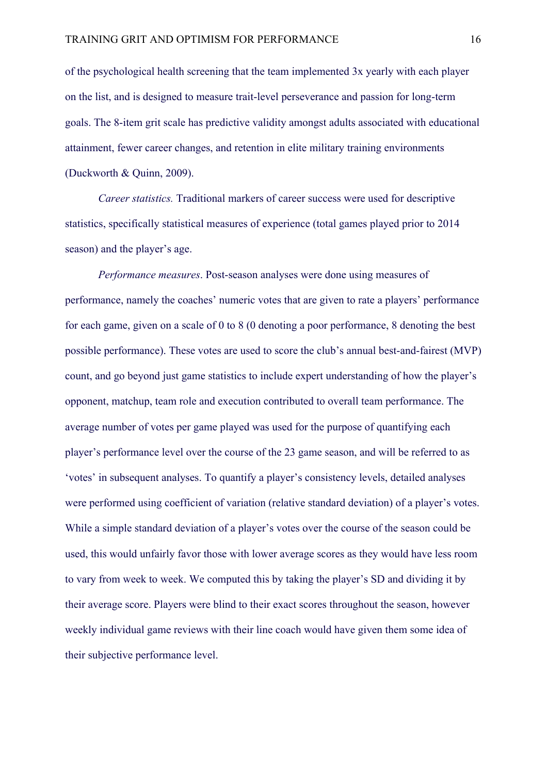of the psychological health screening that the team implemented 3x yearly with each player on the list, and is designed to measure trait-level perseverance and passion for long-term goals. The 8-item grit scale has predictive validity amongst adults associated with educational attainment, fewer career changes, and retention in elite military training environments (Duckworth & Quinn, 2009).

*Career statistics.* Traditional markers of career success were used for descriptive statistics, specifically statistical measures of experience (total games played prior to 2014 season) and the player's age.

*Performance measures*. Post-season analyses were done using measures of performance, namely the coaches' numeric votes that are given to rate a players' performance for each game, given on a scale of 0 to 8 (0 denoting a poor performance, 8 denoting the best possible performance). These votes are used to score the club's annual best-and-fairest (MVP) count, and go beyond just game statistics to include expert understanding of how the player's opponent, matchup, team role and execution contributed to overall team performance. The average number of votes per game played was used for the purpose of quantifying each player's performance level over the course of the 23 game season, and will be referred to as 'votes' in subsequent analyses. To quantify a player's consistency levels, detailed analyses were performed using coefficient of variation (relative standard deviation) of a player's votes. While a simple standard deviation of a player's votes over the course of the season could be used, this would unfairly favor those with lower average scores as they would have less room to vary from week to week. We computed this by taking the player's SD and dividing it by their average score. Players were blind to their exact scores throughout the season, however weekly individual game reviews with their line coach would have given them some idea of their subjective performance level.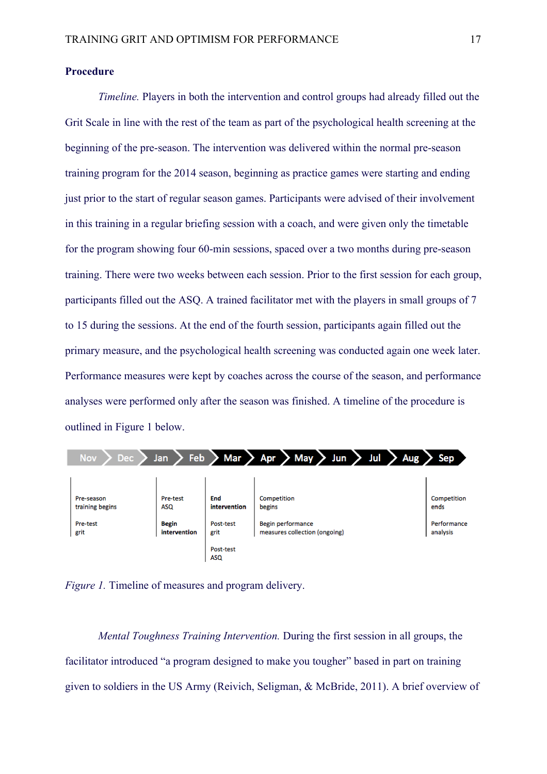## **Procedure**

*Timeline.* Players in both the intervention and control groups had already filled out the Grit Scale in line with the rest of the team as part of the psychological health screening at the beginning of the pre-season. The intervention was delivered within the normal pre-season training program for the 2014 season, beginning as practice games were starting and ending just prior to the start of regular season games. Participants were advised of their involvement in this training in a regular briefing session with a coach, and were given only the timetable for the program showing four 60-min sessions, spaced over a two months during pre-season training. There were two weeks between each session. Prior to the first session for each group, participants filled out the ASQ. A trained facilitator met with the players in small groups of 7 to 15 during the sessions. At the end of the fourth session, participants again filled out the primary measure, and the psychological health screening was conducted again one week later. Performance measures were kept by coaches across the course of the season, and performance analyses were performed only after the season was finished. A timeline of the procedure is outlined in Figure 1 below.

| <b>Nov</b><br><b>Dec</b>      | Feb<br>Jan                   | Mar                     | Jul<br>$>$ May $>$<br>> Apr<br>Jun                 | Aug<br>Sep              |
|-------------------------------|------------------------------|-------------------------|----------------------------------------------------|-------------------------|
|                               |                              |                         |                                                    |                         |
| Pre-season<br>training begins | Pre-test<br>ASQ              | End<br>intervention     | Competition<br>begins                              | Competition<br>ends     |
| Pre-test<br>grit              | <b>Begin</b><br>intervention | Post-test<br>grit       | Begin performance<br>measures collection (ongoing) | Performance<br>analysis |
|                               |                              | Post-test<br><b>ASO</b> |                                                    |                         |

*Figure 1.* Timeline of measures and program delivery.

*Mental Toughness Training Intervention.* During the first session in all groups, the facilitator introduced "a program designed to make you tougher" based in part on training given to soldiers in the US Army (Reivich, Seligman, & McBride, 2011). A brief overview of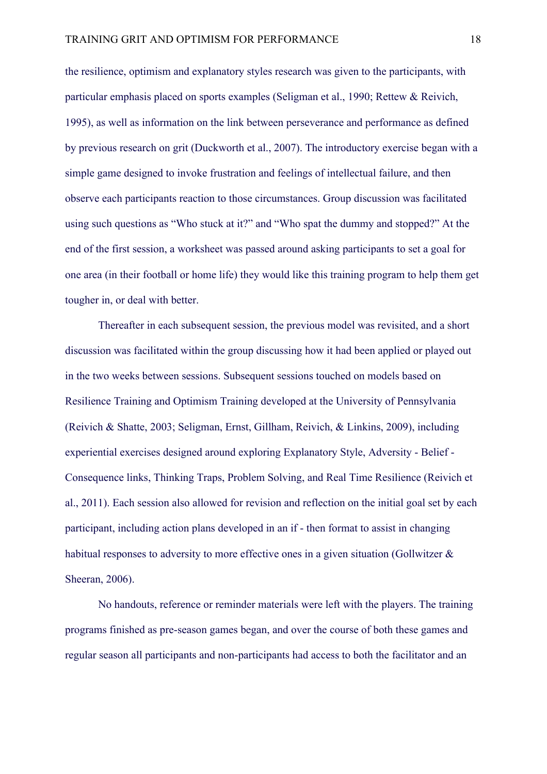the resilience, optimism and explanatory styles research was given to the participants, with particular emphasis placed on sports examples (Seligman et al., 1990; Rettew & Reivich, 1995), as well as information on the link between perseverance and performance as defined by previous research on grit (Duckworth et al., 2007). The introductory exercise began with a simple game designed to invoke frustration and feelings of intellectual failure, and then observe each participants reaction to those circumstances. Group discussion was facilitated using such questions as "Who stuck at it?" and "Who spat the dummy and stopped?" At the end of the first session, a worksheet was passed around asking participants to set a goal for one area (in their football or home life) they would like this training program to help them get tougher in, or deal with better.

Thereafter in each subsequent session, the previous model was revisited, and a short discussion was facilitated within the group discussing how it had been applied or played out in the two weeks between sessions. Subsequent sessions touched on models based on Resilience Training and Optimism Training developed at the University of Pennsylvania (Reivich & Shatte, 2003; Seligman, Ernst, Gillham, Reivich, & Linkins, 2009), including experiential exercises designed around exploring Explanatory Style, Adversity - Belief - Consequence links, Thinking Traps, Problem Solving, and Real Time Resilience (Reivich et al., 2011). Each session also allowed for revision and reflection on the initial goal set by each participant, including action plans developed in an if - then format to assist in changing habitual responses to adversity to more effective ones in a given situation (Gollwitzer  $\&$ Sheeran, 2006).

No handouts, reference or reminder materials were left with the players. The training programs finished as pre-season games began, and over the course of both these games and regular season all participants and non-participants had access to both the facilitator and an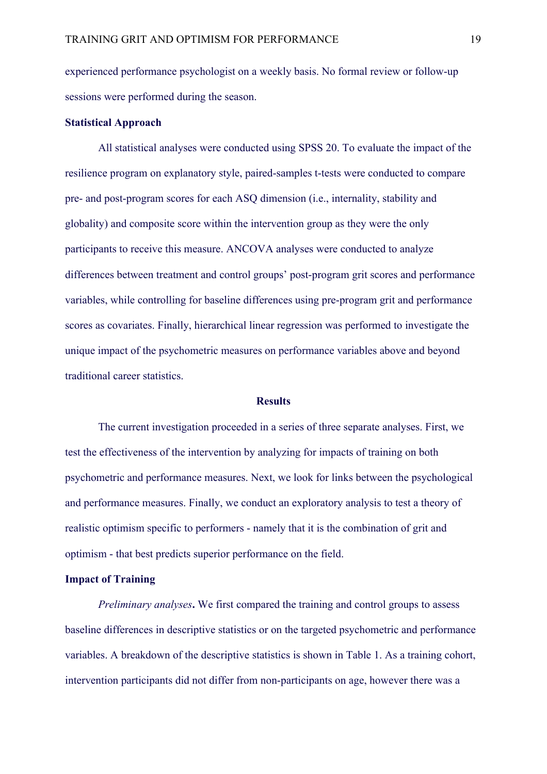experienced performance psychologist on a weekly basis. No formal review or follow-up sessions were performed during the season.

## **Statistical Approach**

All statistical analyses were conducted using SPSS 20. To evaluate the impact of the resilience program on explanatory style, paired-samples t-tests were conducted to compare pre- and post-program scores for each ASQ dimension (i.e., internality, stability and globality) and composite score within the intervention group as they were the only participants to receive this measure. ANCOVA analyses were conducted to analyze differences between treatment and control groups' post-program grit scores and performance variables, while controlling for baseline differences using pre-program grit and performance scores as covariates. Finally, hierarchical linear regression was performed to investigate the unique impact of the psychometric measures on performance variables above and beyond traditional career statistics.

#### **Results**

The current investigation proceeded in a series of three separate analyses. First, we test the effectiveness of the intervention by analyzing for impacts of training on both psychometric and performance measures. Next, we look for links between the psychological and performance measures. Finally, we conduct an exploratory analysis to test a theory of realistic optimism specific to performers - namely that it is the combination of grit and optimism - that best predicts superior performance on the field.

## **Impact of Training**

*Preliminary analyses***.** We first compared the training and control groups to assess baseline differences in descriptive statistics or on the targeted psychometric and performance variables. A breakdown of the descriptive statistics is shown in Table 1. As a training cohort, intervention participants did not differ from non-participants on age, however there was a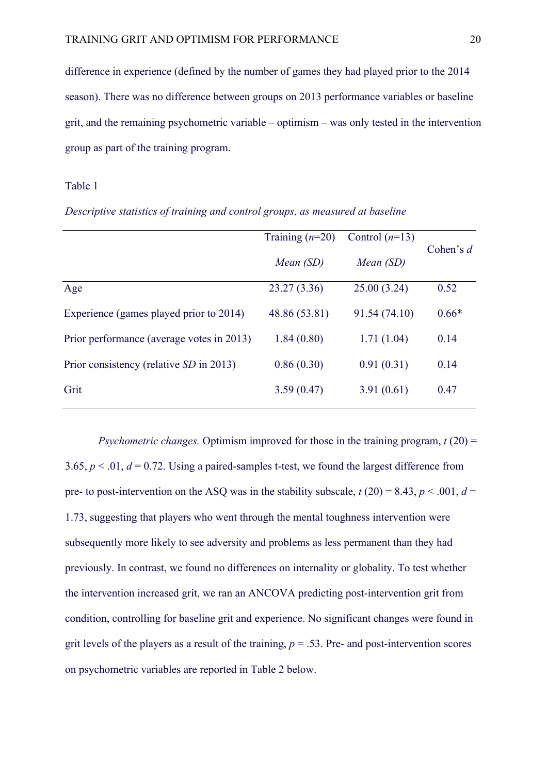difference in experience (defined by the number of games they had played prior to the 2014 season). There was no difference between groups on 2013 performance variables or baseline grit, and the remaining psychometric variable – optimism – was only tested in the intervention group as part of the training program.

## Table 1

|                                           | Training $(n=20)$ | Control $(n=13)$ |             |  |
|-------------------------------------------|-------------------|------------------|-------------|--|
|                                           | Mean (SD)         | Mean (SD)        | Cohen's $d$ |  |
| Age                                       | 23.27(3.36)       | 25.00(3.24)      | 0.52        |  |
| Experience (games played prior to 2014)   | 48.86 (53.81)     | 91.54 (74.10)    | $0.66*$     |  |
| Prior performance (average votes in 2013) | 1.84(0.80)        | 1.71(1.04)       | 0.14        |  |
| Prior consistency (relative SD in 2013)   | 0.86(0.30)        | 0.91(0.31)       | 0.14        |  |
| Grit                                      | 3.59(0.47)        | 3.91(0.61)       | 0.47        |  |

| Descriptive statistics of training and control groups, as measured at baseline |  |  |  |  |  |  |  |  |  |
|--------------------------------------------------------------------------------|--|--|--|--|--|--|--|--|--|
|--------------------------------------------------------------------------------|--|--|--|--|--|--|--|--|--|

*Psychometric changes.* Optimism improved for those in the training program, *t* (20) = 3.65,  $p < 0.01$ ,  $d = 0.72$ . Using a paired-samples t-test, we found the largest difference from pre- to post-intervention on the ASQ was in the stability subscale,  $t(20) = 8.43$ ,  $p < .001$ ,  $d =$ 1.73, suggesting that players who went through the mental toughness intervention were subsequently more likely to see adversity and problems as less permanent than they had previously. In contrast, we found no differences on internality or globality. To test whether the intervention increased grit, we ran an ANCOVA predicting post-intervention grit from condition, controlling for baseline grit and experience. No significant changes were found in grit levels of the players as a result of the training,  $p = .53$ . Pre- and post-intervention scores on psychometric variables are reported in Table 2 below.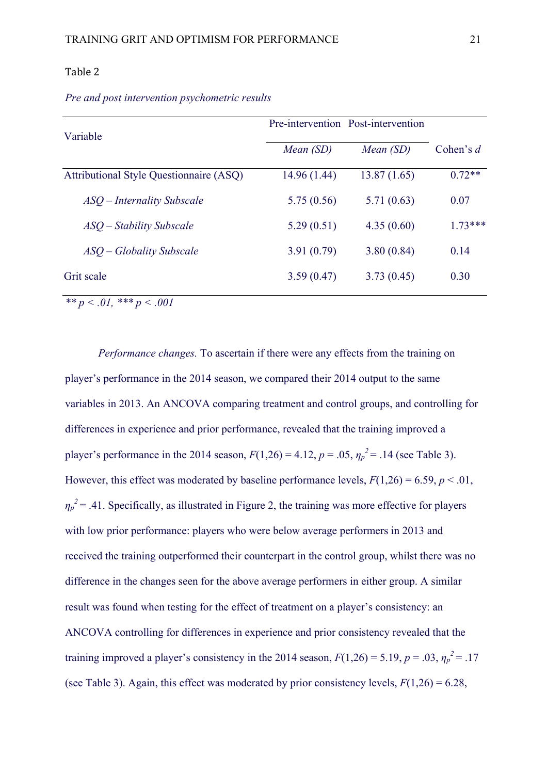## Table 2

| Variable                                       |              | Pre-intervention Post-intervention |             |  |
|------------------------------------------------|--------------|------------------------------------|-------------|--|
|                                                | Mean (SD)    | Mean (SD)                          | Cohen's $d$ |  |
| <b>Attributional Style Questionnaire (ASQ)</b> | 14.96 (1.44) | 13.87(1.65)                        | $0.72**$    |  |
| ASO – Internality Subscale                     | 5.75(0.56)   | 5.71(0.63)                         | 0.07        |  |
| ASO – Stability Subscale                       | 5.29(0.51)   | 4.35(0.60)                         | $1.73***$   |  |
| ASQ – Globality Subscale                       | 3.91(0.79)   | 3.80(0.84)                         | 0.14        |  |
| Grit scale                                     | 3.59(0.47)   | 3.73(0.45)                         | 0.30        |  |
| ** $p < .01$ , *** $p < .001$                  |              |                                    |             |  |

*Pre and post intervention psychometric results*

*Performance changes.* To ascertain if there were any effects from the training on player's performance in the 2014 season, we compared their 2014 output to the same variables in 2013. An ANCOVA comparing treatment and control groups, and controlling for differences in experience and prior performance, revealed that the training improved a player's performance in the 2014 season,  $F(1,26) = 4.12$ ,  $p = .05$ ,  $\eta_p^2 = .14$  (see Table 3). However, this effect was moderated by baseline performance levels,  $F(1,26) = 6.59$ ,  $p < .01$ ,  $\eta_p^2$  = .41. Specifically, as illustrated in Figure 2, the training was more effective for players with low prior performance: players who were below average performers in 2013 and received the training outperformed their counterpart in the control group, whilst there was no difference in the changes seen for the above average performers in either group. A similar result was found when testing for the effect of treatment on a player's consistency: an ANCOVA controlling for differences in experience and prior consistency revealed that the training improved a player's consistency in the 2014 season,  $F(1,26) = 5.19$ ,  $p = .03$ ,  $\eta_p^2 = .17$ (see Table 3). Again, this effect was moderated by prior consistency levels,  $F(1,26) = 6.28$ ,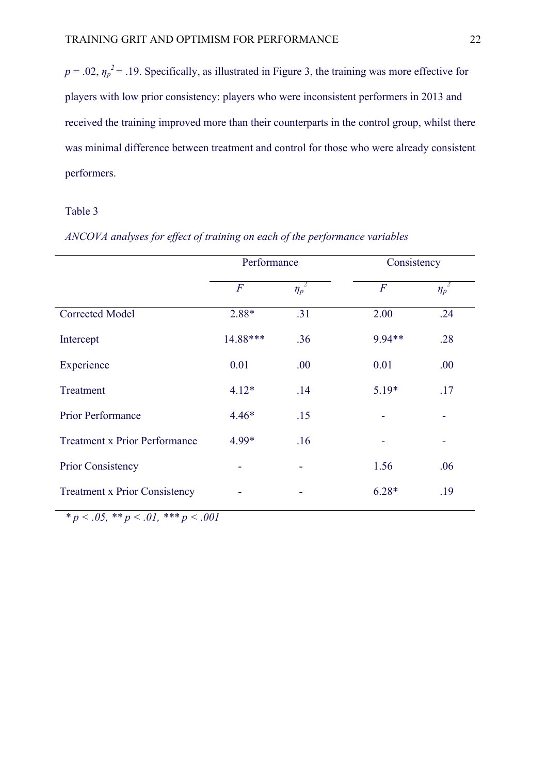$p = 0.02$ ,  $\eta_p^2 = 0.19$ . Specifically, as illustrated in Figure 3, the training was more effective for players with low prior consistency: players who were inconsistent performers in 2013 and received the training improved more than their counterparts in the control group, whilst there was minimal difference between treatment and control for those who were already consistent performers.

## Table 3

# *ANCOVA analyses for effect of training on each of the performance variables*

|                                      | Performance    |            | Consistency                  |                       |  |
|--------------------------------------|----------------|------------|------------------------------|-----------------------|--|
|                                      | $\overline{F}$ | $\eta_p^2$ | $\overline{F}$               | $\overline{\eta_p}^2$ |  |
| <b>Corrected Model</b>               | 2.88*          | .31        | 2.00                         | .24                   |  |
| Intercept                            | 14.88***       | .36        | 9.94**                       | .28                   |  |
| Experience                           | 0.01           | .00        | 0.01                         | .00                   |  |
| Treatment                            | $4.12*$        | .14        | $5.19*$                      | .17                   |  |
| Prior Performance                    | $4.46*$        | .15        | $\qquad \qquad \blacksquare$ |                       |  |
| <b>Treatment x Prior Performance</b> | 4.99*          | .16        | ۰                            |                       |  |
| <b>Prior Consistency</b>             |                |            | 1.56                         | .06                   |  |
| <b>Treatment x Prior Consistency</b> |                |            | $6.28*$                      | .19                   |  |

*\* p < .05, \*\* p < .01, \*\*\* p < .001*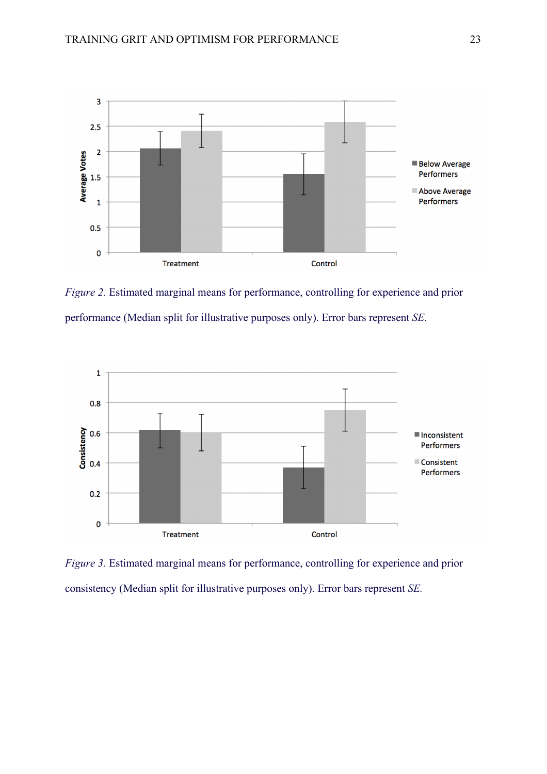

*Figure 2.* Estimated marginal means for performance, controlling for experience and prior performance (Median split for illustrative purposes only). Error bars represent *SE*.



*Figure 3.* Estimated marginal means for performance, controlling for experience and prior consistency (Median split for illustrative purposes only). Error bars represent *SE.*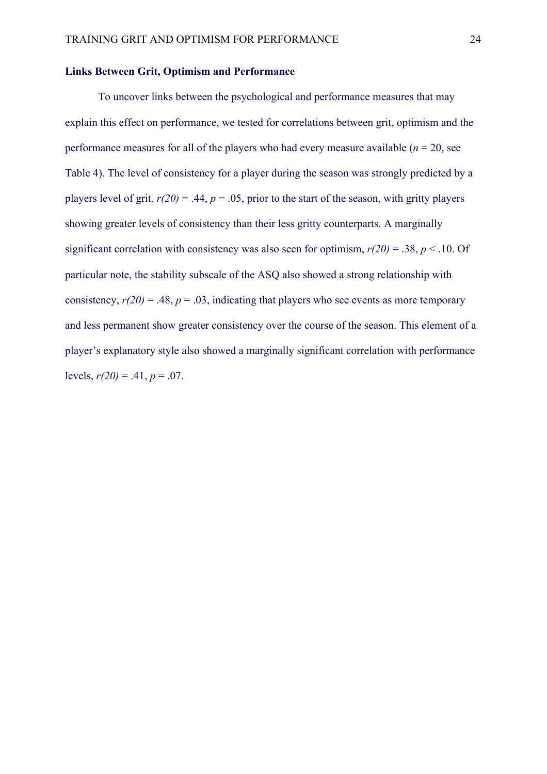## **Links Between Grit, Optimism and Performance**

To uncover links between the psychological and performance measures that may explain this effect on performance, we tested for correlations between grit, optimism and the performance measures for all of the players who had every measure available  $(n = 20)$ , see Table 4). The level of consistency for a player during the season was strongly predicted by a players level of grit,  $r(20) = .44$ ,  $p = .05$ , prior to the start of the season, with gritty players showing greater levels of consistency than their less gritty counterparts. A marginally significant correlation with consistency was also seen for optimism,  $r(20) = .38$ ,  $p < .10$ . Of particular note, the stability subscale of the ASQ also showed a strong relationship with consistency,  $r(20) = .48$ ,  $p = .03$ , indicating that players who see events as more temporary and less permanent show greater consistency over the course of the season. This element of a player's explanatory style also showed a marginally significant correlation with performance levels,  $r(20) = .41$ ,  $p = .07$ .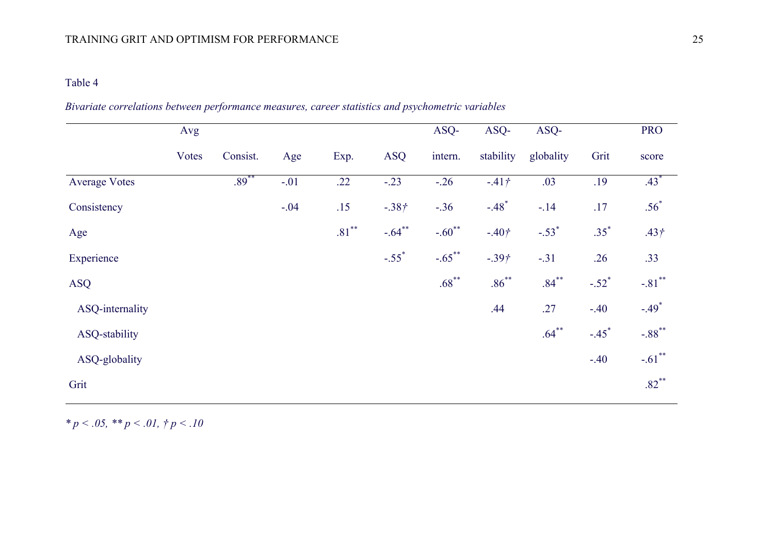## Table 4

|                 | Avg   |          |        |          |                     | ASQ-      | ASQ-                | ASQ-      |                     | <b>PRO</b>           |
|-----------------|-------|----------|--------|----------|---------------------|-----------|---------------------|-----------|---------------------|----------------------|
|                 | Votes | Consist. | Age    | Exp.     | <b>ASQ</b>          | intern.   | stability           | globality | Grit                | score                |
| Average Votes   |       | $.89***$ | $-.01$ | .22      | $-.23$              | $-.26$    | $-41†$              | .03       | .19                 | $.43*$               |
| Consistency     |       |          | $-.04$ | .15      | $-.38+$             | $-.36$    | $-.48$ <sup>*</sup> | $-.14$    | .17                 | $.56*$               |
| Age             |       |          |        | $.81***$ | $-.64**$            | $-.60**$  | $-.40†$             | $-.53*$   | $.35^{*}$           | .43 <sub>†</sub>     |
| Experience      |       |          |        |          | $-.55$ <sup>*</sup> | $-.65***$ | $-.39†$             | $-.31$    | .26                 | .33                  |
| <b>ASQ</b>      |       |          |        |          |                     | $.68***$  | $.86***$            | $.84***$  | $-.52$ <sup>*</sup> | $-.81$ **            |
| ASQ-internality |       |          |        |          |                     |           | .44                 | .27       | $-.40$              | $-.49*$              |
| ASQ-stability   |       |          |        |          |                     |           |                     | $.64***$  | $-.45$ <sup>*</sup> | $-.88$ <sup>**</sup> |
| ASQ-globality   |       |          |        |          |                     |           |                     |           | $-.40$              | $-.61$ **            |
| Grit            |       |          |        |          |                     |           |                     |           |                     | $.82***$             |

*Bivariate correlations between performance measures, career statistics and psychometric variables*

*\* p < .05, \*\* p < .01, † p < .10*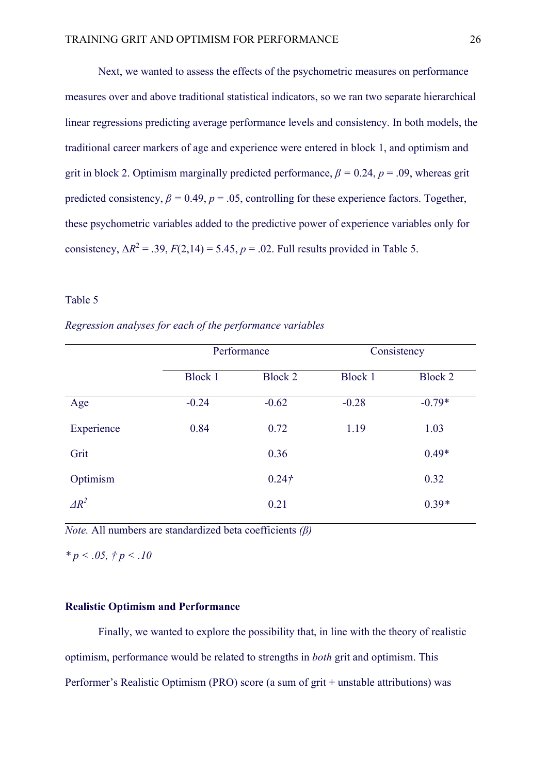Next, we wanted to assess the effects of the psychometric measures on performance measures over and above traditional statistical indicators, so we ran two separate hierarchical linear regressions predicting average performance levels and consistency. In both models, the traditional career markers of age and experience were entered in block 1, and optimism and grit in block 2. Optimism marginally predicted performance,  $\beta = 0.24$ ,  $p = .09$ , whereas grit predicted consistency,  $\beta = 0.49$ ,  $p = .05$ , controlling for these experience factors. Together, these psychometric variables added to the predictive power of experience variables only for consistency,  $\Delta R^2 = .39$ ,  $F(2,14) = 5.45$ ,  $p = .02$ . Full results provided in Table 5.

## Table 5

*Regression analyses for each of the performance variables*

|              | Performance    |                   | Consistency |          |  |
|--------------|----------------|-------------------|-------------|----------|--|
|              | <b>Block 1</b> | Block 2           |             | Block 2  |  |
| Age          | $-0.24$        | $-0.62$           | $-0.28$     | $-0.79*$ |  |
| Experience   | 0.84           | 0.72              | 1.19        | 1.03     |  |
| Grit         |                | 0.36              |             | $0.49*$  |  |
| Optimism     |                | 0.24 <sup>†</sup> |             | 0.32     |  |
| $\Delta R^2$ |                | 0.21              |             | $0.39*$  |  |

*Note.* All numbers are standardized beta coefficients *(β)*

*\* p < .05, † p < .10* 

### **Realistic Optimism and Performance**

Finally, we wanted to explore the possibility that, in line with the theory of realistic optimism, performance would be related to strengths in *both* grit and optimism. This Performer's Realistic Optimism (PRO) score (a sum of grit + unstable attributions) was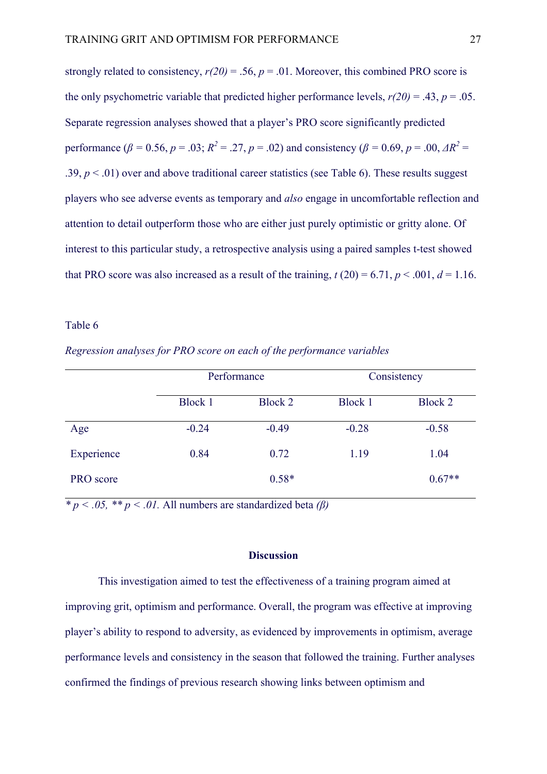strongly related to consistency,  $r(20) = .56$ ,  $p = .01$ . Moreover, this combined PRO score is the only psychometric variable that predicted higher performance levels,  $r(20) = .43$ ,  $p = .05$ . Separate regression analyses showed that a player's PRO score significantly predicted performance ( $\beta = 0.56$ ,  $p = .03$ ;  $R^2 = .27$ ,  $p = .02$ ) and consistency ( $\beta = 0.69$ ,  $p = .00$ ,  $\Delta R^2 =$ .39,  $p < 0.01$ ) over and above traditional career statistics (see Table 6). These results suggest players who see adverse events as temporary and *also* engage in uncomfortable reflection and attention to detail outperform those who are either just purely optimistic or gritty alone. Of interest to this particular study, a retrospective analysis using a paired samples t-test showed that PRO score was also increased as a result of the training,  $t(20) = 6.71$ ,  $p < .001$ ,  $d = 1.16$ .

#### Table 6

|            |         | Performance | Consistency |          |  |
|------------|---------|-------------|-------------|----------|--|
|            | Block 1 | Block 2     |             | Block 2  |  |
| Age        | $-0.24$ | $-0.49$     | $-0.28$     | $-0.58$  |  |
| Experience | 0.84    | 0.72        | 1.19        | 1.04     |  |
| PRO score  |         | $0.58*$     |             | $0.67**$ |  |

*Regression analyses for PRO score on each of the performance variables*

 $\overline{\phi}$  *\* p < .05,* \* *p < .01.* All numbers are standardized beta *(β)* 

### **Discussion**

This investigation aimed to test the effectiveness of a training program aimed at improving grit, optimism and performance. Overall, the program was effective at improving player's ability to respond to adversity, as evidenced by improvements in optimism, average performance levels and consistency in the season that followed the training. Further analyses confirmed the findings of previous research showing links between optimism and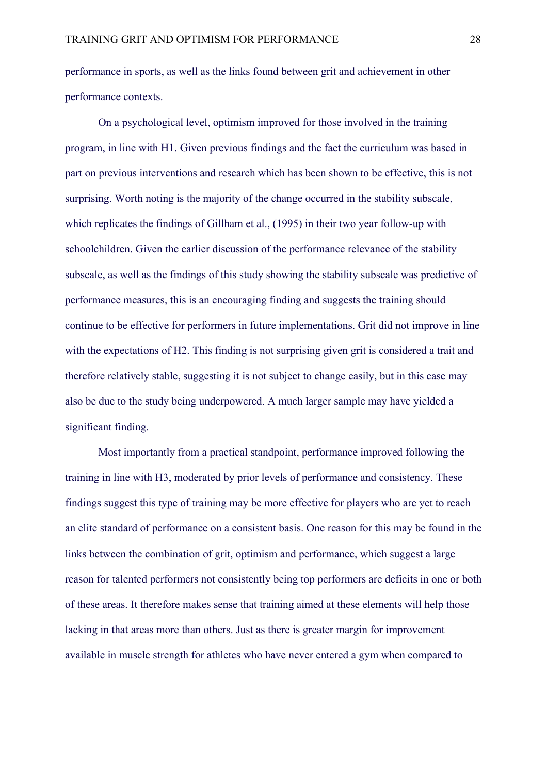performance in sports, as well as the links found between grit and achievement in other performance contexts.

On a psychological level, optimism improved for those involved in the training program, in line with H1. Given previous findings and the fact the curriculum was based in part on previous interventions and research which has been shown to be effective, this is not surprising. Worth noting is the majority of the change occurred in the stability subscale, which replicates the findings of Gillham et al., (1995) in their two year follow-up with schoolchildren. Given the earlier discussion of the performance relevance of the stability subscale, as well as the findings of this study showing the stability subscale was predictive of performance measures, this is an encouraging finding and suggests the training should continue to be effective for performers in future implementations. Grit did not improve in line with the expectations of H2. This finding is not surprising given grit is considered a trait and therefore relatively stable, suggesting it is not subject to change easily, but in this case may also be due to the study being underpowered. A much larger sample may have yielded a significant finding.

Most importantly from a practical standpoint, performance improved following the training in line with H3, moderated by prior levels of performance and consistency. These findings suggest this type of training may be more effective for players who are yet to reach an elite standard of performance on a consistent basis. One reason for this may be found in the links between the combination of grit, optimism and performance, which suggest a large reason for talented performers not consistently being top performers are deficits in one or both of these areas. It therefore makes sense that training aimed at these elements will help those lacking in that areas more than others. Just as there is greater margin for improvement available in muscle strength for athletes who have never entered a gym when compared to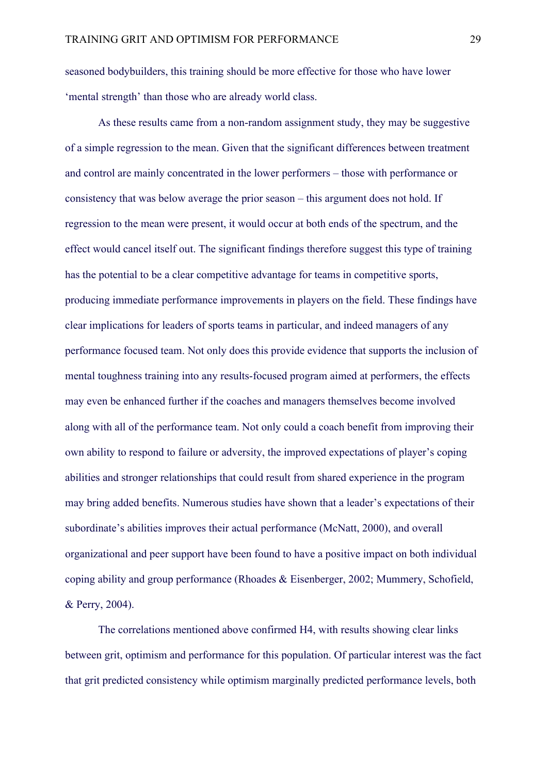seasoned bodybuilders, this training should be more effective for those who have lower 'mental strength' than those who are already world class.

As these results came from a non-random assignment study, they may be suggestive of a simple regression to the mean. Given that the significant differences between treatment and control are mainly concentrated in the lower performers – those with performance or consistency that was below average the prior season – this argument does not hold. If regression to the mean were present, it would occur at both ends of the spectrum, and the effect would cancel itself out. The significant findings therefore suggest this type of training has the potential to be a clear competitive advantage for teams in competitive sports, producing immediate performance improvements in players on the field. These findings have clear implications for leaders of sports teams in particular, and indeed managers of any performance focused team. Not only does this provide evidence that supports the inclusion of mental toughness training into any results-focused program aimed at performers, the effects may even be enhanced further if the coaches and managers themselves become involved along with all of the performance team. Not only could a coach benefit from improving their own ability to respond to failure or adversity, the improved expectations of player's coping abilities and stronger relationships that could result from shared experience in the program may bring added benefits. Numerous studies have shown that a leader's expectations of their subordinate's abilities improves their actual performance (McNatt, 2000), and overall organizational and peer support have been found to have a positive impact on both individual coping ability and group performance (Rhoades & Eisenberger, 2002; Mummery, Schofield, & Perry, 2004).

The correlations mentioned above confirmed H4, with results showing clear links between grit, optimism and performance for this population. Of particular interest was the fact that grit predicted consistency while optimism marginally predicted performance levels, both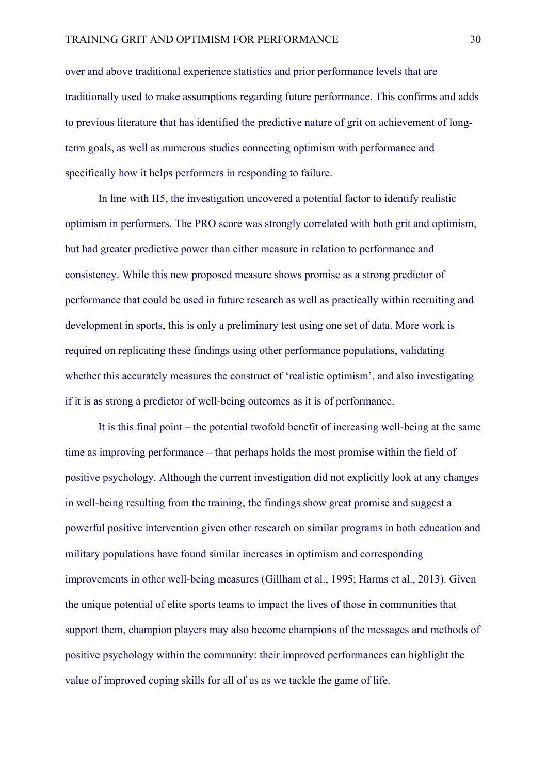over and above traditional experience statistics and prior performance levels that are traditionally used to make assumptions regarding future performance. This confirms and adds to previous literature that has identified the predictive nature of grit on achievement of longterm goals, as well as numerous studies connecting optimism with performance and specifically how it helps performers in responding to failure.

In line with H5, the investigation uncovered a potential factor to identify realistic optimism in performers. The PRO score was strongly correlated with both grit and optimism, but had greater predictive power than either measure in relation to performance and consistency. While this new proposed measure shows promise as a strong predictor of performance that could be used in future research as well as practically within recruiting and development in sports, this is only a preliminary test using one set of data. More work is required on replicating these findings using other performance populations, validating whether this accurately measures the construct of 'realistic optimism', and also investigating if it is as strong a predictor of well-being outcomes as it is of performance.

It is this final point – the potential twofold benefit of increasing well-being at the same time as improving performance – that perhaps holds the most promise within the field of positive psychology. Although the current investigation did not explicitly look at any changes in well-being resulting from the training, the findings show great promise and suggest a powerful positive intervention given other research on similar programs in both education and military populations have found similar increases in optimism and corresponding improvements in other well-being measures (Gillham et al., 1995; Harms et al., 2013). Given the unique potential of elite sports teams to impact the lives of those in communities that support them, champion players may also become champions of the messages and methods of positive psychology within the community: their improved performances can highlight the value of improved coping skills for all of us as we tackle the game of life.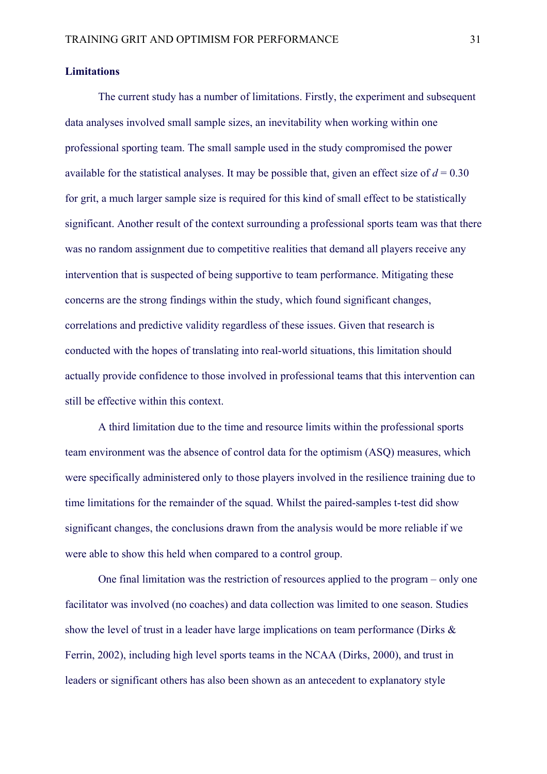## **Limitations**

The current study has a number of limitations. Firstly, the experiment and subsequent data analyses involved small sample sizes, an inevitability when working within one professional sporting team. The small sample used in the study compromised the power available for the statistical analyses. It may be possible that, given an effect size of  $d = 0.30$ for grit, a much larger sample size is required for this kind of small effect to be statistically significant. Another result of the context surrounding a professional sports team was that there was no random assignment due to competitive realities that demand all players receive any intervention that is suspected of being supportive to team performance. Mitigating these concerns are the strong findings within the study, which found significant changes, correlations and predictive validity regardless of these issues. Given that research is conducted with the hopes of translating into real-world situations, this limitation should actually provide confidence to those involved in professional teams that this intervention can still be effective within this context.

A third limitation due to the time and resource limits within the professional sports team environment was the absence of control data for the optimism (ASQ) measures, which were specifically administered only to those players involved in the resilience training due to time limitations for the remainder of the squad. Whilst the paired-samples t-test did show significant changes, the conclusions drawn from the analysis would be more reliable if we were able to show this held when compared to a control group.

One final limitation was the restriction of resources applied to the program – only one facilitator was involved (no coaches) and data collection was limited to one season. Studies show the level of trust in a leader have large implications on team performance (Dirks & Ferrin, 2002), including high level sports teams in the NCAA (Dirks, 2000), and trust in leaders or significant others has also been shown as an antecedent to explanatory style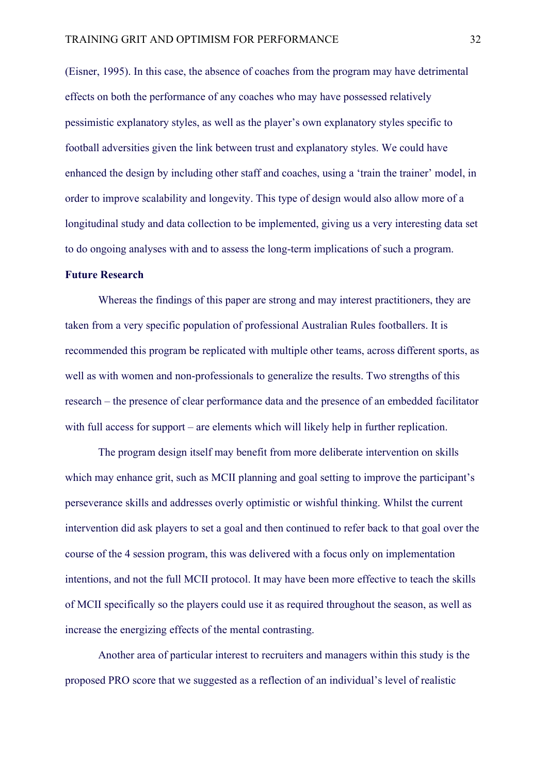(Eisner, 1995). In this case, the absence of coaches from the program may have detrimental effects on both the performance of any coaches who may have possessed relatively pessimistic explanatory styles, as well as the player's own explanatory styles specific to football adversities given the link between trust and explanatory styles. We could have enhanced the design by including other staff and coaches, using a 'train the trainer' model, in order to improve scalability and longevity. This type of design would also allow more of a longitudinal study and data collection to be implemented, giving us a very interesting data set to do ongoing analyses with and to assess the long-term implications of such a program.

## **Future Research**

Whereas the findings of this paper are strong and may interest practitioners, they are taken from a very specific population of professional Australian Rules footballers. It is recommended this program be replicated with multiple other teams, across different sports, as well as with women and non-professionals to generalize the results. Two strengths of this research – the presence of clear performance data and the presence of an embedded facilitator with full access for support – are elements which will likely help in further replication.

The program design itself may benefit from more deliberate intervention on skills which may enhance grit, such as MCII planning and goal setting to improve the participant's perseverance skills and addresses overly optimistic or wishful thinking. Whilst the current intervention did ask players to set a goal and then continued to refer back to that goal over the course of the 4 session program, this was delivered with a focus only on implementation intentions, and not the full MCII protocol. It may have been more effective to teach the skills of MCII specifically so the players could use it as required throughout the season, as well as increase the energizing effects of the mental contrasting.

Another area of particular interest to recruiters and managers within this study is the proposed PRO score that we suggested as a reflection of an individual's level of realistic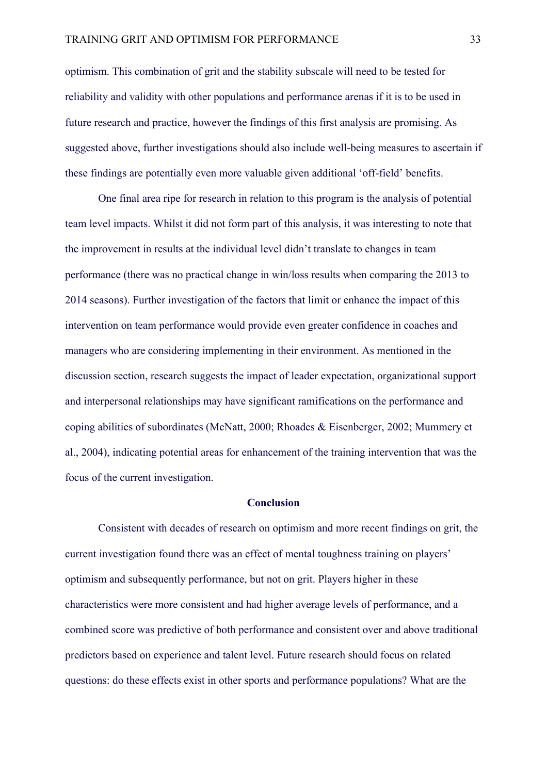optimism. This combination of grit and the stability subscale will need to be tested for reliability and validity with other populations and performance arenas if it is to be used in future research and practice, however the findings of this first analysis are promising. As suggested above, further investigations should also include well-being measures to ascertain if these findings are potentially even more valuable given additional 'off-field' benefits.

One final area ripe for research in relation to this program is the analysis of potential team level impacts. Whilst it did not form part of this analysis, it was interesting to note that the improvement in results at the individual level didn't translate to changes in team performance (there was no practical change in win/loss results when comparing the 2013 to 2014 seasons). Further investigation of the factors that limit or enhance the impact of this intervention on team performance would provide even greater confidence in coaches and managers who are considering implementing in their environment. As mentioned in the discussion section, research suggests the impact of leader expectation, organizational support and interpersonal relationships may have significant ramifications on the performance and coping abilities of subordinates (McNatt, 2000; Rhoades & Eisenberger, 2002; Mummery et al., 2004), indicating potential areas for enhancement of the training intervention that was the focus of the current investigation.

## **Conclusion**

Consistent with decades of research on optimism and more recent findings on grit, the current investigation found there was an effect of mental toughness training on players' optimism and subsequently performance, but not on grit. Players higher in these characteristics were more consistent and had higher average levels of performance, and a combined score was predictive of both performance and consistent over and above traditional predictors based on experience and talent level. Future research should focus on related questions: do these effects exist in other sports and performance populations? What are the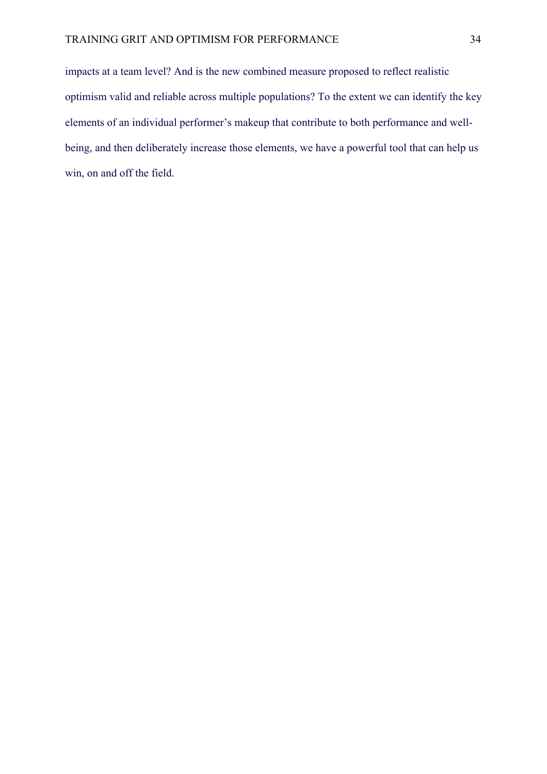impacts at a team level? And is the new combined measure proposed to reflect realistic optimism valid and reliable across multiple populations? To the extent we can identify the key elements of an individual performer's makeup that contribute to both performance and wellbeing, and then deliberately increase those elements, we have a powerful tool that can help us win, on and off the field.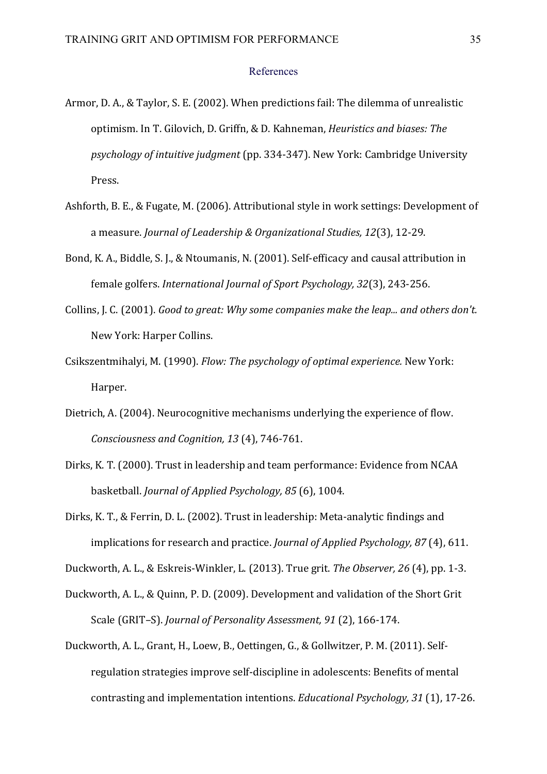#### References

- Armor, D. A., & Taylor, S. E. (2002). When predictions fail: The dilemma of unrealistic optimism. In T. Gilovich, D. Griffn, & D. Kahneman, *Heuristics and biases: The psychology of intuitive judgment* (pp. 334-347). New York: Cambridge University Press.
- Ashforth, B. E., & Fugate, M. (2006). Attributional style in work settings: Development of a measure. *Journal of Leadership & Organizational Studies, 12*(3), 12-29.
- Bond, K. A., Biddle, S. J., & Ntoumanis, N. (2001). Self-efficacy and causal attribution in female golfers. *International Journal of Sport Psychology, 32*(3), 243-256.
- Collins, J. C. (2001). *Good to great: Why some companies make the leap... and others don't.* New York: Harper Collins.
- Csikszentmihalyi, M. (1990). *Flow: The psychology of optimal experience.* New York: Harper.
- Dietrich, A. (2004). Neurocognitive mechanisms underlying the experience of flow. *Consciousness and Cognition, 13* (4), 746-761.
- Dirks, K. T. (2000). Trust in leadership and team performance: Evidence from NCAA basketball. *Journal of Applied Psychology, 85* (6), 1004.
- Dirks, K. T., & Ferrin, D. L. (2002). Trust in leadership: Meta-analytic findings and implications for research and practice. *Journal of Applied Psychology*, 87(4), 611.

Duckworth, A. L., & Eskreis-Winkler, L. (2013). True grit. *The Observer*, 26 (4), pp. 1-3.

- Duckworth, A. L., & Quinn, P. D. (2009). Development and validation of the Short Grit Scale (GRIT-S). *Journal of Personality Assessment, 91* (2), 166-174.
- Duckworth, A. L., Grant, H., Loew, B., Oettingen, G., & Gollwitzer, P. M. (2011). Selfregulation strategies improve self-discipline in adolescents: Benefits of mental contrasting and implementation intentions. *Educational Psychology, 31* (1), 17-26.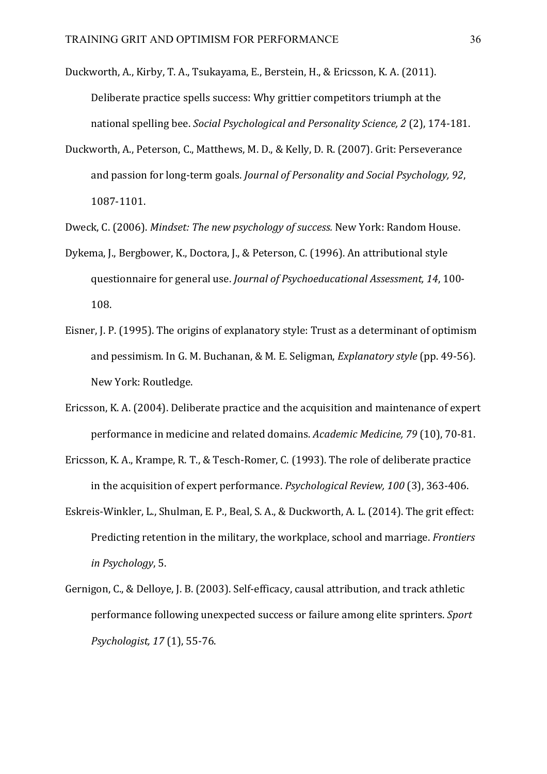- Duckworth, A., Kirby, T. A., Tsukayama, E., Berstein, H., & Ericsson, K. A. (2011). Deliberate practice spells success: Why grittier competitors triumph at the national spelling bee. *Social Psychological and Personality Science*, 2 (2), 174-181.
- Duckworth, A., Peterson, C., Matthews, M. D., & Kelly, D. R. (2007). Grit: Perseverance and passion for long-term goals. *Journal of Personality and Social Psychology, 92*, 1087-1101.
- Dweck, C. (2006). *Mindset: The new psychology of success.* New York: Random House.
- Dykema, J., Bergbower, K., Doctora, J., & Peterson, C. (1996). An attributional style questionnaire for general use. *Journal of Psychoeducational Assessment*, 14, 100-108.
- Eisner, J. P. (1995). The origins of explanatory style: Trust as a determinant of optimism and pessimism. In G. M. Buchanan, & M. E. Seligman, *Explanatory style* (pp. 49-56). New York: Routledge.
- Ericsson, K. A. (2004). Deliberate practice and the acquisition and maintenance of expert performance in medicine and related domains. *Academic Medicine*, 79 (10), 70-81.
- Ericsson, K. A., Krampe, R. T., & Tesch-Romer, C. (1993). The role of deliberate practice in the acquisition of expert performance. *Psychological Review,* 100 (3), 363-406.
- Eskreis-Winkler, L., Shulman, E. P., Beal, S. A., & Duckworth, A. L. (2014). The grit effect: Predicting retention in the military, the workplace, school and marriage. *Frontiers in Psychology*, 5.
- Gernigon, C., & Delloye, J. B. (2003). Self-efficacy, causal attribution, and track athletic performance following unexpected success or failure among elite sprinters. Sport *Psychologist, 17* (1), 55-76.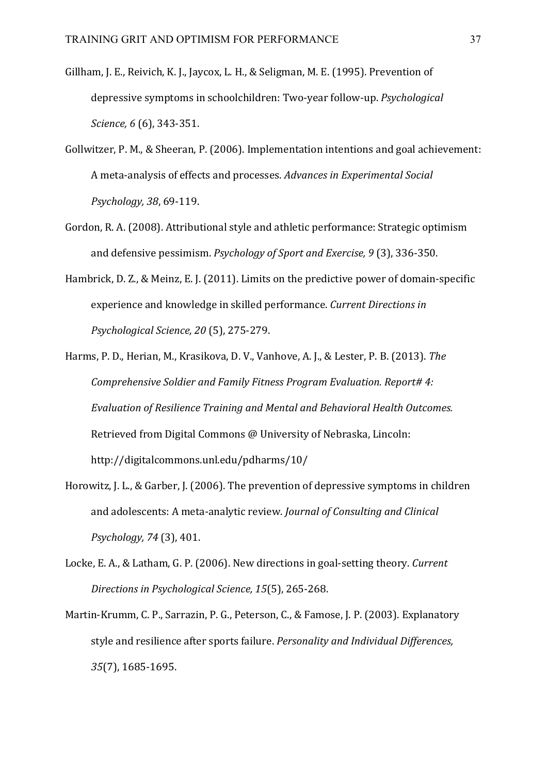- Gillham, J. E., Reivich, K. J., Jaycox, L. H., & Seligman, M. E. (1995). Prevention of depressive symptoms in schoolchildren: Two-year follow-up. *Psychological Science,* 6 (6), 343-351.
- Gollwitzer, P. M., & Sheeran, P. (2006). Implementation intentions and goal achievement: A meta-analysis of effects and processes. Advances in Experimental Social *Psychology, 38*, 69-119.
- Gordon, R. A. (2008). Attributional style and athletic performance: Strategic optimism and defensive pessimism. *Psychology of Sport and Exercise,* 9 (3), 336-350.
- Hambrick, D. Z., & Meinz, E. J. (2011). Limits on the predictive power of domain-specific experience and knowledge in skilled performance. *Current Directions in Psychological Science, 20* (5), 275-279.
- Harms, P. D., Herian, M., Krasikova, D. V., Vanhove, A. J., & Lester, P. B. (2013). The *Comprehensive Soldier and Family Fitness Program Evaluation. Report# 4: Evaluation of Resilience Training and Mental and Behavioral Health Outcomes.* Retrieved from Digital Commons @ University of Nebraska, Lincoln: http://digitalcommons.unl.edu/pdharms/10/
- Horowitz, J. L., & Garber, J. (2006). The prevention of depressive symptoms in children and adolescents: A meta-analytic review. *Journal of Consulting and Clinical Psychology, 74* (3), 401.
- Locke, E. A., & Latham, G. P. (2006). New directions in goal-setting theory. *Current* Directions in Psychological Science, 15(5), 265-268.
- Martin-Krumm, C. P., Sarrazin, P. G., Peterson, C., & Famose, J. P. (2003). Explanatory style and resilience after sports failure. *Personality and Individual Differences*, *35*(7), 1685-1695.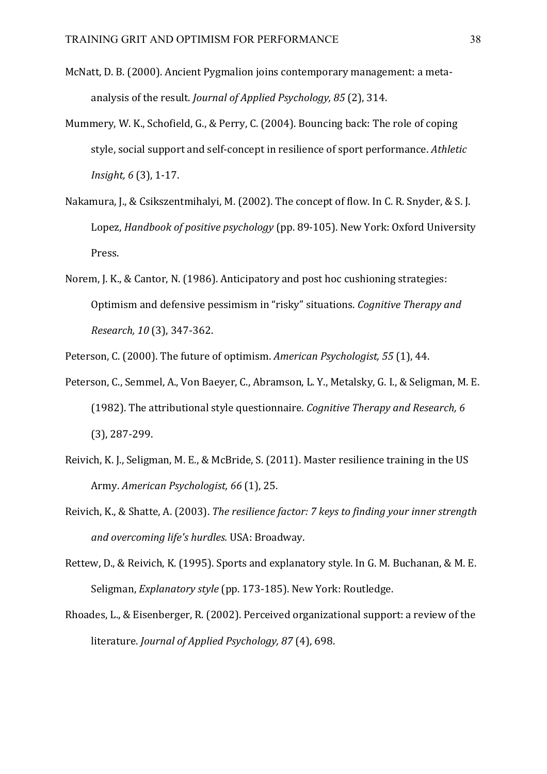- McNatt, D. B. (2000). Ancient Pygmalion joins contemporary management: a metaanalysis of the result. *Journal of Applied Psychology, 85* (2), 314.
- Mummery, W. K., Schofield, G., & Perry, C. (2004). Bouncing back: The role of coping style, social support and self-concept in resilience of sport performance. Athletic *Insight,* 6 (3), 1-17.
- Nakamura, J., & Csikszentmihalyi, M. (2002). The concept of flow. In C. R. Snyder, & S. J. Lopez, *Handbook of positive psychology* (pp. 89-105). New York: Oxford University Press.
- Norem, J. K., & Cantor, N. (1986). Anticipatory and post hoc cushioning strategies: Optimism and defensive pessimism in "risky" situations. *Cognitive Therapy and Research, 10* (3), 347-362.

Peterson, C. (2000). The future of optimism. *American Psychologist,* 55 (1), 44.

- Peterson, C., Semmel, A., Von Baeyer, C., Abramson, L. Y., Metalsky, G. I., & Seligman, M. E. (1982). The attributional style questionnaire. *Cognitive Therapy and Research, 6*  $(3)$ , 287-299.
- Reivich, K. J., Seligman, M. E., & McBride, S. (2011). Master resilience training in the US Army. *American Psychologist,* 66 (1), 25.
- Reivich, K., & Shatte, A. (2003). *The resilience factor: 7 keys to finding your inner strength and overcoming life's hurdles.* USA: Broadway.
- Rettew, D., & Reivich, K. (1995). Sports and explanatory style. In G. M. Buchanan, & M. E. Seligman, *Explanatory style* (pp. 173-185). New York: Routledge.
- Rhoades, L., & Eisenberger, R. (2002). Perceived organizational support: a review of the literature. *Journal of Applied Psychology, 87* (4), 698.